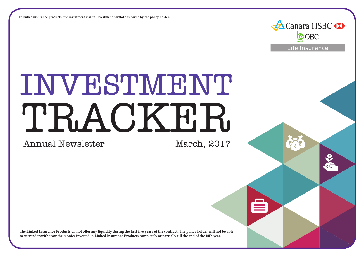**In linked insurance products, the investment risk in Investment portfolio is borne by the policy holder.**

# INVESTMENT TRACKER

Annual Newsletter

Canara HSBC

**COBC** 

Life Insurance

**The Linked Insurance Products do not offer any liquidity during the first five years of the contract. The policy holder will not be able to surrender/withdraw the monies invested in Linked Insurance Products completely or partially till the end of the fifth year.**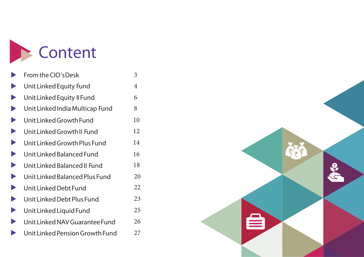

|                       | From the CIO's Desk             | 3  |
|-----------------------|---------------------------------|----|
|                       | Unit Linked Equity Fund         | 4  |
| $\blacktriangleright$ | Unit Linked Equity II Fund      | 6  |
|                       | Unit Linked India Multicap Fund | 8  |
| $\blacktriangleright$ | Unit Linked Growth Fund         | 10 |
| $\blacktriangleright$ | Unit Linked Growth II Fund      | 12 |
| $\blacktriangleright$ | Unit Linked Growth Plus Fund    | 14 |
| $\blacktriangleright$ | Unit Linked Balanced Fund       | 16 |
| $\blacktriangleright$ | Unit Linked Balanced II Fund    | 18 |
| $\blacktriangleright$ | Unit Linked Balanced Plus Fund  | 20 |
| $\blacktriangleright$ | Unit Linked Debt Fund           | 22 |
| $\blacktriangleright$ | Unit Linked Debt Plus Fund      | 23 |
|                       | Unit Linked Liquid Fund         | 25 |
|                       | Unit Linked NAV Guarantee Fund  | 26 |
|                       | Unit Linked Pension Growth Fund | 27 |

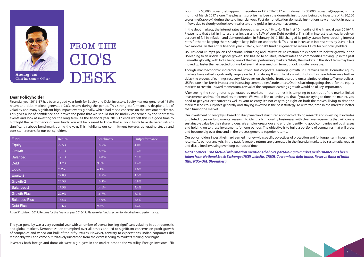

# **FROM THE CIO'S** DESK

#### **Dear Policyholder**

Financial year 2016-17 has been a good year both for Equity and Debt investors. Equity markets generated 18.5% return and debt markets generated 9.8% return during the period. This strong performance is despite a lot of volatility and many significant high impact events globally, which had raised concerns on the investment climate. This gives a lot of confidence and proves the point that we should not be unduly concerned by the short term events and look at investing for the long term. As the financial year 2016-17 ends we felt this is a good time to highlight the performance of your funds. You will be pleased to know that all your funds have delivered returns significantly above benchmark during the year. This highlights our commitment towards generating steady and consistent returns for our policyholders.

| Fund                 | Return | Benchmark | Outperformance |
|----------------------|--------|-----------|----------------|
| Equity               | 22.5%  | 18.5%     | 4.0%           |
| Growth               | 23.1%  | 16.7%     | 6.4%           |
| <b>Balanced</b>      | 17.1%  | 14.0%     | 3.1%           |
| <b>Debt</b>          | 11.2%  | 9.8%      | 1.4%           |
| Liquid               | 7.2%   | 6.1%      | 1.0%           |
| Equity-2             | 22.8%  | 18.5%     | 4.3%           |
| Growth-2             | 23.5%  | 16.8%     | 6.8%           |
| Balanced-2           | 17.5%  | 14.1%     | 3.4%           |
| <b>Growth Plus</b>   | 22.9%  | 16.7%     | 6.1%           |
| <b>Balanced Plus</b> | 16.5%  | 14.0%     | 2.5%           |
| <b>Debt Plus</b>     | 10.6%  | 9.4%      | 1.2%           |

As on 31st March 2017. Returns for the financial year 2016-17. Please refer funds section for detailed fund performance.

The year gone by was a very eventful year with a number of events fuelling significant volatility in both domestic and global markets. Demonetization triumphed over all others and led to significant concerns on profit growth of companies and wiped out bulk of the Nifty returns. However, contrary to expectations, Indian corporates did reasonably well and came out relatively unscathed from the event leading to markets making new highs.

Investors both foreign and domestic were big buyers in the market despite the volatility. Foreign investors (FII)

bought Rs 53,000 crores (net)(approx) in equities in FY 2016-2017 with almost Rs 30,000 crores(net)(approx) in the month of March 2017 alone. The pleasant surprise has been the domestic institutions being big investors of Rs 30,200 crores (net)(approx) during the said financial year. Post demonetization domestic institutions saw an uptick in equity inflows due to cloudy outlook over real estate and gold as investment avenues.

In the debt markets, the interest rates dropped sharply by 1% to 6.4% in first 10 months of the financial year 2016-17. Please note that a fall in interest rates increases the NAV of your Debt portfolio. This fall in interest rates was largely on account of fall in inflation and demonetization. In February 2017, RBI changed its policy stance from reducing interest rates further to keeping them steady to keep inflation under check. This led to increase in interest rates by 0.3% in last two months . In this entire financial year 2016-17, our debt fund has generated return 11.2% for our policyholders.

US President Trump's policies of national rebuilding and infrastructure creation are expected to bolster growth in the US leading to an uptick in global growth. This has led to equities, interest rates and commodities moving up in the past 3 months globally, with India being one of the best performing markets. While, the markets in the short term may have moved up faster than expected but we believe that over medium term outlook is quite favorable.

Though macroeconomic indicators are strong but corporate earnings growth still remains weak. Domestic equity markets have rallied significantly largely on back of strong flows. The likely rollout of GST in near future may further delay the process of earnings recovery. Moreover, on the global front, there are uncertainties relating to Trump polices, US Fed rate hike, Brexit impact and increasing commodities/crude prices. On this backdrop, going ahead, for the equity markets to sustain upward momentum, revival of the corporate earnings growth would be of key importance.

After seeing the strong returns generated by markets in recent times it is tempting to cash out of the market linked investments and wait for markets to correct. We would like to advice you that if you are trying to time the market, you need to get your exit correct as well as your re-entry. It's not easy to go right on both the moves. Trying to time the markets leads to surprises generally and staying invested is the best strategy. To reiterate, time in the market is better than timing the market.

Our investment philosophy is based on disciplined and structured approach of doing research and investing. It includes undiluted focus on fundamental research to identify high quality businesses with clean managements that will create sustainable value for their shareholders. We employ great rigor and effort in identifying good companies and businesses and holding on to those investments for long periods. The objective is to build a portfolio of companies that will grow and become big over time and in the process generate superior returns.

Our policyholders invest their hard earned money with specific objectives of protection and for longer term investment returns. As per our analysis, in the past, favorable returns are generated in the financial markets by systematic, regular and disciplined investing over long periods of time.

*Data Sources: The factual information mentioned above pertaining to market performance has been taken from National Stock Exchange (NSE) website, CRISIL Customized debt index, Reserve Bank of India (RBI) NDS-OM, Bloomberg.*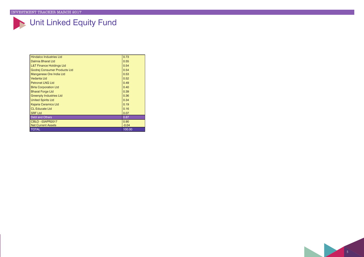# Unit Linked Equity Fund

| <b>Hindalco Industries Ltd</b>      | 0.73    |
|-------------------------------------|---------|
| Dalmia Bharat Ltd                   | 0.55    |
| <b>L&amp;T Finance Holdings Ltd</b> | 0.54    |
| Godrej Consumer Products Ltd        | 0.54    |
| Manganese Ore India Ltd             | 0.53    |
| Vedanta Ltd                         | 0.52    |
| <b>Petronet LNG Ltd</b>             | 0.49    |
| <b>Birla Corporation Ltd</b>        | 0.40    |
| <b>Bharat Forge Ltd</b>             | 0.39    |
| <b>Greenply Industries Ltd</b>      | 0.36    |
| <b>United Spirits Ltd</b>           | 0.34    |
| Kajaria Ceramics Ltd                | 0.19    |
| <b>CL Educate Ltd</b>               | 0.16    |
| <b>SRF Ltd</b>                      | 0.07    |
| <b>Debt and Others</b>              | 0.87    |
| CBLO - 03APR2017                    | 0.90    |
| <b>Net Current Assets</b>           | $-0.04$ |
| <b>TOTAL</b>                        | 100.00  |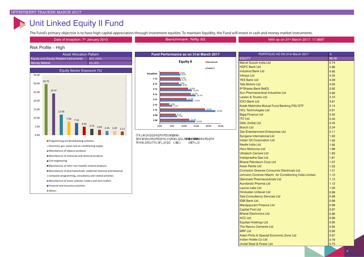### Unit Linked Equity II Fund

The Fund's primary objective is to have high capital appreciation through investment equities. To maintain liquidity, the Fund will invest in cash and money market instruments.

Date of Inception: 7<sup>th</sup> January 2010 **NAV as on 31st Narch 2017: 17.9897** the Date of Inception: 7<sup>th</sup> January 2010





| ™सिमरूऽा∏        | ר⊓ דו                  |
|------------------|------------------------|
| USHIRHVRHRI⊟     | $TH$ $SHTRH$ $\perp$   |
| <b>7KHOLRFUD</b> | VIDD010100UWVY00PÖ1HÎE |

| $\frac{1}{2}$ can be calculated to the material contract $\frac{1}{2}$<br>EQUITY | $\sim$<br>98.49 |
|----------------------------------------------------------------------------------|-----------------|
| Maruti Suzuki India Ltd                                                          | 5.74            |
| <b>HDFC Bank Ltd</b>                                                             | 4.86            |
| IndusInd Bank Ltd                                                                | 4.85            |
|                                                                                  | 4.35            |
| Infosys Ltd<br>YES Bank Ltd                                                      | 4.09            |
| Tata Motors Ltd                                                                  | 4.05            |
| <b>R*Shares Bank BeES</b>                                                        | 3.92            |
| Sun Pharmaceutical Industries Ltd                                                | 3.90            |
| Larsen & Tourbo Ltd                                                              | 3.74            |
| <b>ICICI Bank Ltd</b>                                                            | 3.61            |
| Kotak Mahindra Mutual Fund Banking PSU ETF                                       | 3.14            |
| HCL Technologies Ltd                                                             | 2.61            |
| Bajaj Finance Ltd<br>ITC Ltd                                                     | 2.55            |
|                                                                                  | 2.45            |
| I<br>GAIL (India) Ltd                                                            | 2.45            |
| Bosch Ltd<br>Zee Entertainment Enterprises Ltd                                   | 2.24            |
|                                                                                  | 2.11            |
| Syngene International Ltd                                                        | 1.93            |
| Indian Oil Corporation Ltd<br>Nestle India Ltd                                   | 1.93            |
|                                                                                  | 1.92            |
| Hero Motocorp Ltd                                                                | 1.89            |
| Ultratech Cement Ltd<br>Indraprastha Gas Ltd                                     | 1.83            |
|                                                                                  | 1.81            |
| Bharat Petroleum Corp Ltd                                                        | 1.57            |
| Asian Paints Ltd<br>Crompton Greaves Consumer Electricals Ltd                    | 1.53            |
|                                                                                  | 1.21            |
| Johnson Controls Hitachi Air Conditioning India Limited                          | 1.12            |
| Glenmark Pharmaceuticals Ltd<br>Aurobindo Pharma Ltd                             | 1.12            |
|                                                                                  | 1.12            |
| Laurus Labs Ltd                                                                  | 1.03            |
| Hindustan Unilever Ltd<br>Tata Consultancy Services Ltd                          | 0.99            |
|                                                                                  | 0.98            |
| <b>IDBI Bank Ltd</b>                                                             | 0.98            |
| Manappuram Finance Ltd<br>Capital First Ltd                                      | 0.98            |
|                                                                                  | 0.97            |
| <b>Bharat Electronics Ltd</b>                                                    | 0.96            |
| ACC Ltd<br>Equitas Holdings Ltd                                                  | 0.96            |
|                                                                                  | 0.95            |
| The Ramco Cements Ltd                                                            | 0.94            |
| MRF Ltd<br>Adani Ports & Special Economic Zone Ltd                               | 0.90            |
| Indian Hotels Co Ltd                                                             | 0.87<br>0.79    |
|                                                                                  | 0.75            |
| Jindal Steel & Power Ltd                                                         |                 |

6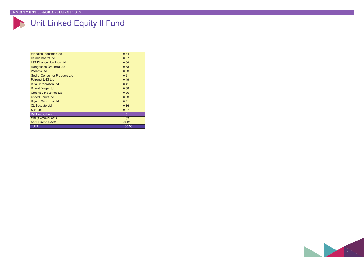# Unit Linked Equity II Fund

| <b>Hindalco Industries Ltd</b>      | 0.74    |
|-------------------------------------|---------|
| Dalmia Bharat Ltd                   | 0.57    |
| <b>L&amp;T Finance Holdings Ltd</b> | 0.54    |
| Manganese Ore India Ltd             | 0.53    |
| Vedanta Ltd                         | 0.53    |
| Godrej Consumer Products Ltd        | 0.51    |
| <b>Petronet LNG Ltd</b>             | 0.49    |
| <b>Birla Corporation Ltd</b>        | 0.41    |
| <b>Bharat Forge Ltd</b>             | 0.38    |
| <b>Greenply Industries Ltd</b>      | 0.36    |
| <b>United Spirits Ltd</b>           | 0.33    |
| Kajaria Ceramics Ltd                | 0.21    |
| <b>CL Educate Ltd</b>               | 0.16    |
| <b>SRF Ltd</b>                      | 0.07    |
| Debt and Others                     | 1.51    |
| CBLO - 03APR2017                    | 1.62    |
| <b>Net Current Assets</b>           | $-0.12$ |
| <b>TOTAL</b>                        | 100.00  |

7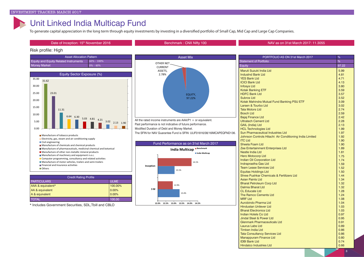### Unit Linked India Multicap Fund

To generate capital appreciation in the long term through equity investments by investing in a diversified portfolio of Small Cap, Mid Cap and Large Cap Companies.



Hindalco Industries Ltd

8 0.66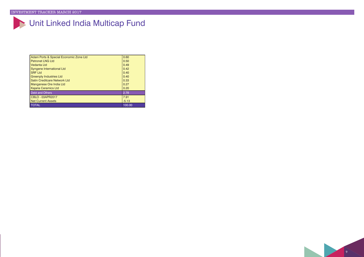# Unit Linked India Multicap Fund

| Adani Ports & Special Economic Zone Ltd | 0.60    |
|-----------------------------------------|---------|
| <b>Petronet LNG Ltd</b>                 | 0.50    |
| Vedanta Ltd                             | 0.49    |
| Syngene International Ltd               | 0.42    |
| <b>SRF Ltd</b>                          | 0.40    |
| <b>Greenply Industries Ltd</b>          | 0.40    |
| Satin Creditcare Network Ltd            | 0.33    |
| Manganese Ore India Ltd                 | 0.27    |
| <b>Kajaria Ceramics Ltd</b>             | 0.20    |
| Debt and Others                         | 2.78    |
| CBLO - 03APR2017                        | 7.91    |
| <b>Net Current Assets</b>               | $-5.13$ |
| <b>TOTAL</b>                            | 100.00  |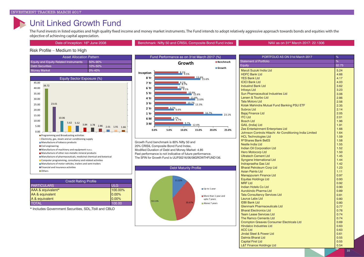### Unit Linked Growth Fund

The Fund invests in listed equities and high quality fixed income and money market instruments. The Fund intends to adopt relatively aggressive approach towards bonds and equities with the objective of achieving capital appreciation.

#### Date of Inception: 16<sup>th</sup> June 2008 **Benchmark: Nifty 50 and CRISIL Composite Bond Fund Index Nav as on 31<sup>st</sup> March 2017: 22.1306**

### Risk Profile – Medium to High

| <b>Asset Allocation Pattern</b>              |               |
|----------------------------------------------|---------------|
| <b>Equity and Equity Related Instruments</b> | 50%-90%       |
| <b>Debt Securities</b>                       | $10\% - 50\%$ |
| <b>Money Market</b>                          | $0\% - 40\%$  |



| <b>Credit Rating Profile</b> |            |  |
|------------------------------|------------|--|
| <b>PARTICULARS</b>           | <b>ULG</b> |  |
| AAA & equivalent*            | 100.00%    |  |
| AA & equivalent              | 0.00%      |  |
| A & equivalent               | $0.00\%$   |  |
| <b>TOTAL</b>                 | 100.00     |  |

\* Includes Government Securities, SDL,Tbill and CBLO



Growth Fund benchmark is 80% Nifty 50 and 20% CRISIL Composite Bond Fund Index. Modified Duration of Debt and Money Market: 4.85 Past performance is not indicative of future performance. The SFIN for Growth Fund is ULIF00216/06/08GROWTHFUND136.



| PORTFOLIO AS ON 31st March 2017                         | %     |
|---------------------------------------------------------|-------|
| <b>Statement of Portfolio</b>                           | %     |
| Equity                                                  | 82.75 |
| Maruti Suzuki India Ltd                                 | 5.24  |
| <b>HDFC Bank Ltd</b>                                    | 4.66  |
| <b>YES Bank Ltd</b>                                     | 4.17  |
| <b>ICICI Bank Ltd</b>                                   | 4.03  |
| <b>IndusInd Bank Ltd</b>                                | 3.62  |
| <b>Infosys Ltd</b>                                      | 3.23  |
| <b>Sun Pharmaceutical Industries Ltd</b>                | 3.06  |
| Larsen & Tourbo Ltd                                     | 2.86  |
| <b>Tata Motors Ltd</b>                                  | 2.56  |
| Kotak Mahindra Mutual Fund Banking PSU ETF              | 2.35  |
| <b>Subros Ltd</b>                                       | 2.14  |
| <b>Bajaj Finance Ltd</b>                                | 2.05  |
| <b>ITC Ltd</b>                                          | 2.01  |
| <b>Bosch Ltd</b>                                        | 1.96  |
| <b>GAIL (India) Ltd</b>                                 | 1.91  |
| Zee Entertainment Enterprises Ltd                       | 1.66  |
| Johnson Controls Hitachi Air Conditioning India Limited | 1.64  |
| <b>HCL Technologies Ltd</b>                             | 1.59  |
| <b>R*Shares Bank BeES</b>                               | 1.58  |
| Nestle India Ltd                                        | 1.55  |
| <b>Indian Oil Corporation Ltd</b>                       | 1.52  |
| <b>Hero Motocorp Ltd</b>                                | 1.50  |
| <b>Ultratech Cement Ltd</b>                             | 1.45  |
| <b>Syngene International Ltd</b>                        | 1.44  |
| Indraprastha Gas Ltd                                    | 1.42  |
| <b>Bharat Petroleum Corp Ltd</b>                        | 1.23  |
| <b>Asian Paints Ltd</b>                                 | 1.11  |
| Manappuram Finance Ltd                                  | 0.97  |
| <b>Equitas Holdings Ltd</b>                             | 0.93  |
| <b>MRF Ltd</b>                                          | 0.92  |
| Indian Hotels Co Ltd                                    | 0.90  |
| Aurobindo Pharma Ltd                                    | 0.89  |
| <b>Tata Consultancy Services Ltd</b>                    | 0.81  |
| Laurus Labs Ltd                                         | 0.80  |
| <b>IDBI Bank Ltd</b>                                    | 0.80  |
| <b>Glenmark Pharmaceuticals Ltd</b>                     | 0.77  |
| <b>Bharat Electronics Ltd</b>                           | 0.76  |
| <b>Team Lease Services Ltd</b>                          | 0.74  |
| The Ramco Cements Ltd                                   | 0.74  |
| <b>Crompton Greaves Consumer Electricals Ltd</b>        | 0.69  |
| <b>Hindalco Industries Ltd</b>                          | 0.63  |
| <b>ACC Ltd</b>                                          | 0.63  |
| <b>Jindal Steel &amp; Power Ltd</b>                     | 0.61  |
| <b>Dalmia Bharat Ltd</b>                                | 0.55  |
| <b>Capital First Ltd</b>                                | 0.55  |
| <b>L&amp;T Finance Holdings Ltd</b>                     | 0.54  |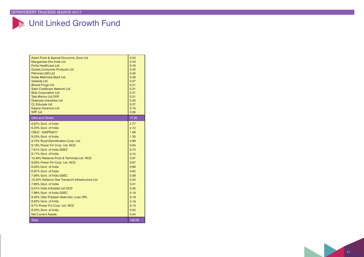### Unit Linked Growth Fund

| Adani Ports & Special Economic Zone Ltd<br>Manganese Ore India Ltd<br><b>Fortis Healthcare Ltd</b><br>Godrei Consumer Products Ltd<br><b>Petronet LNG Ltd</b><br>Kotak Mahindra Bank Ltd<br>Vedanta Ltd<br><b>Bharat Forge Ltd</b><br><b>Satin Creditcare Network Ltd</b><br><b>Birla Corporation Ltd</b><br><b>Tata Motors Ltd DVR</b><br><b>Greenply Industries Ltd</b><br><b>CL Educate Ltd</b><br><b>Kajaria Ceramics Ltd</b><br><b>SRF Ltd</b>                                                                                                                                                                                                                                       | 0.53<br>0.43<br>0.43<br>0.42<br>0.40<br>0.39<br>0.37<br>0.31<br>0.31<br>0.31<br>0.31<br>0.30<br>0.27<br>0.16<br>0.06                                                         |
|-------------------------------------------------------------------------------------------------------------------------------------------------------------------------------------------------------------------------------------------------------------------------------------------------------------------------------------------------------------------------------------------------------------------------------------------------------------------------------------------------------------------------------------------------------------------------------------------------------------------------------------------------------------------------------------------|------------------------------------------------------------------------------------------------------------------------------------------------------------------------------|
| Debt and Others                                                                                                                                                                                                                                                                                                                                                                                                                                                                                                                                                                                                                                                                           | 17.25                                                                                                                                                                        |
| 8.97% Govt, of India<br>6.35% Govt. of India<br>CBLO - 03APR2017<br>9.23% Govt. of India<br>9.75% Rural Electrification Corp. Ltd.<br>9.18% Power Fin Corp. Ltd. NCD<br>7.61% Govt. of India GSEC<br>8.17% Govt. of India<br>10.40% Reliance Ports & Terminals Ltd. NCD<br>9.00% Power Fin Corp. Ltd. NCD<br>8.30% Govt. of India<br>6.97% Govt. of India<br>7.06% Govt. of India GSEC<br>10.25% Reliance Gas Transport Infrastructure Ltd<br>7.80% Govt. of India<br>8.57% India Infradebt I td NCD<br>7.88% Govt, of India GSEC<br>8.35% Uttar Pradesh State Dev Loan SPL<br>8.83% Govt. of India<br>8.7% Power Fin Corp. Ltd. NCD<br>8.30% Govt, of India<br><b>Net Current Assets</b> | 2.77<br>2.72<br>1.89<br>1.30<br>0.99<br>0.84<br>0.74<br>0.72<br>0.67<br>0.67<br>0.66<br>0.62<br>0.59<br>0.33<br>0.31<br>0.26<br>0.19<br>0.19<br>0.19<br>0.13<br>0.03<br>0.44 |
| <b>Total</b>                                                                                                                                                                                                                                                                                                                                                                                                                                                                                                                                                                                                                                                                              | 100.00                                                                                                                                                                       |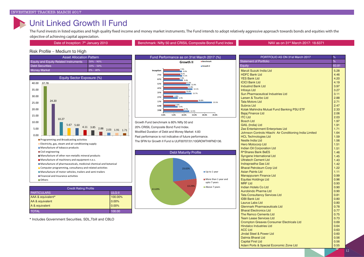### Unit Linked Growth II Fund

The Fund invests in listed equities and high quality fixed income and money market instruments. The Fund intends to adopt relatively aggressive approach towards bonds and equities with the objective of achieving capital appreciation.

Date of Inception: 7<sup>th</sup> January 2010 **Benchmark: Nifty 50 and CRISIL Composite Bond Fund Index NAV as on 31<sup>st</sup> March 2017: 18.6371** 

#### Risk Profile – Medium to High

| <b>Asset Allocation Pattern</b>              |               |
|----------------------------------------------|---------------|
| <b>Equity and Equity Related Instruments</b> | $50\% - 90\%$ |
| Debt Securities                              | $10\% - 50\%$ |
| Money Market                                 | $10\% - 40\%$ |
|                                              |               |



| <b>Credit Rating Profile</b> |         |  |
|------------------------------|---------|--|
| <b>PARTICULARS</b>           | ULG-II  |  |
| AAA & equivalent*            | 100.00% |  |
| AA & equivalent              | 0.00%   |  |
| A & equivalent               | 10.00%  |  |
| <b>TOTAL</b>                 | 100.00  |  |

\* Includes Government Securities, SDL,Tbill and CBLO



Growth Fund benchmark is 80% Nifty 50 and 20% CRISIL Composite Bond Fund Index. Modified Duration of Debt and Money Market: 4.83 Past performance is not indicative of future performance. The SFIN for Growth II Fund is ULIF00707/01/10GROWTHIIFND136.



| $\%$<br>83.81<br>Maruti Suzuki India Ltd<br>5.28<br><b>HDFC Bank Ltd</b><br>4.46<br><b>YES Bank Ltd</b><br>4.20<br>4.19<br><b>IndusInd Bank Ltd</b><br>3.97<br>3.27<br><b>Sun Pharmaceutical Industries Ltd</b><br>3.11<br>2.88<br><b>Tata Motors Ltd</b><br>2.71<br><b>Subros Ltd</b><br>2.47<br>Kotak Mahindra Mutual Fund Banking PSU ETF<br>2.33<br><b>Bajaj Finance Ltd</b><br>2.06<br><b>ITC Ltd</b><br>2.03<br><b>Bosch Ltd</b><br>1.97<br><b>GAIL (India) Ltd</b><br>1.91<br>Zee Entertainment Enterprises Ltd<br>1.71<br>Johnson Controls Hitachi Air Conditioning India Limited<br>1.64<br>1.59<br><b>HCL Technologies Ltd</b><br>Nestle India Ltd<br>1.56<br><b>Hero Motocorp Ltd</b><br>1.51<br>1.51<br><b>Indian Oil Corporation Ltd</b><br><b>R*Shares Bank BeES</b><br>1.46<br>1.45<br><b>Syngene International Ltd</b><br><b>Ultratech Cement Ltd</b><br>1.43<br>1.42<br>Indraprastha Gas Ltd<br>1.22<br><b>Bharat Petroleum Corp Ltd</b><br><b>Asian Paints Ltd</b><br>1.11<br><b>Manappuram Finance Ltd</b><br>0.99<br><b>Equitas Holdings Ltd</b><br>0.96<br>MRF I td<br>0.93<br>0.90<br>Aurobindo Pharma Ltd<br>0.90<br><b>Tata Consultancy Services Ltd</b><br>0.81<br><b>IDBI Bank Ltd</b><br>0.80<br>0.80<br><b>Glenmark Pharmaceuticals Ltd</b><br>0.78<br><b>Bharat Electronics Ltd</b><br>0.77<br>The Ramco Cements Ltd<br>0.75<br><b>Team Lease Services Ltd</b><br>0.73<br><b>Crompton Greaves Consumer Electricals Ltd</b><br>0.69<br><b>Hindalco Industries Ltd</b><br>0.64<br>ACC I td<br>0.63<br>Jindal Steel & Power Ltd<br>0.60<br>Dalmia Bharat Ltd<br>0.56<br><b>Capital First Ltd</b><br>0.56<br>0.55 | PORTFOLIO AS ON 31st March 2017         |  |  |  |
|--------------------------------------------------------------------------------------------------------------------------------------------------------------------------------------------------------------------------------------------------------------------------------------------------------------------------------------------------------------------------------------------------------------------------------------------------------------------------------------------------------------------------------------------------------------------------------------------------------------------------------------------------------------------------------------------------------------------------------------------------------------------------------------------------------------------------------------------------------------------------------------------------------------------------------------------------------------------------------------------------------------------------------------------------------------------------------------------------------------------------------------------------------------------------------------------------------------------------------------------------------------------------------------------------------------------------------------------------------------------------------------------------------------------------------------------------------------------------------------------------------------------------------------------------------------------------------------------------------------------------------------------|-----------------------------------------|--|--|--|
|                                                                                                                                                                                                                                                                                                                                                                                                                                                                                                                                                                                                                                                                                                                                                                                                                                                                                                                                                                                                                                                                                                                                                                                                                                                                                                                                                                                                                                                                                                                                                                                                                                            | <b>Statement of Portfolio</b>           |  |  |  |
|                                                                                                                                                                                                                                                                                                                                                                                                                                                                                                                                                                                                                                                                                                                                                                                                                                                                                                                                                                                                                                                                                                                                                                                                                                                                                                                                                                                                                                                                                                                                                                                                                                            | Equity                                  |  |  |  |
|                                                                                                                                                                                                                                                                                                                                                                                                                                                                                                                                                                                                                                                                                                                                                                                                                                                                                                                                                                                                                                                                                                                                                                                                                                                                                                                                                                                                                                                                                                                                                                                                                                            |                                         |  |  |  |
|                                                                                                                                                                                                                                                                                                                                                                                                                                                                                                                                                                                                                                                                                                                                                                                                                                                                                                                                                                                                                                                                                                                                                                                                                                                                                                                                                                                                                                                                                                                                                                                                                                            |                                         |  |  |  |
|                                                                                                                                                                                                                                                                                                                                                                                                                                                                                                                                                                                                                                                                                                                                                                                                                                                                                                                                                                                                                                                                                                                                                                                                                                                                                                                                                                                                                                                                                                                                                                                                                                            |                                         |  |  |  |
|                                                                                                                                                                                                                                                                                                                                                                                                                                                                                                                                                                                                                                                                                                                                                                                                                                                                                                                                                                                                                                                                                                                                                                                                                                                                                                                                                                                                                                                                                                                                                                                                                                            | <b>ICICI Bank Ltd</b>                   |  |  |  |
|                                                                                                                                                                                                                                                                                                                                                                                                                                                                                                                                                                                                                                                                                                                                                                                                                                                                                                                                                                                                                                                                                                                                                                                                                                                                                                                                                                                                                                                                                                                                                                                                                                            |                                         |  |  |  |
|                                                                                                                                                                                                                                                                                                                                                                                                                                                                                                                                                                                                                                                                                                                                                                                                                                                                                                                                                                                                                                                                                                                                                                                                                                                                                                                                                                                                                                                                                                                                                                                                                                            | <b>Infosys Ltd</b>                      |  |  |  |
|                                                                                                                                                                                                                                                                                                                                                                                                                                                                                                                                                                                                                                                                                                                                                                                                                                                                                                                                                                                                                                                                                                                                                                                                                                                                                                                                                                                                                                                                                                                                                                                                                                            |                                         |  |  |  |
|                                                                                                                                                                                                                                                                                                                                                                                                                                                                                                                                                                                                                                                                                                                                                                                                                                                                                                                                                                                                                                                                                                                                                                                                                                                                                                                                                                                                                                                                                                                                                                                                                                            | Larsen & Tourbo Ltd                     |  |  |  |
|                                                                                                                                                                                                                                                                                                                                                                                                                                                                                                                                                                                                                                                                                                                                                                                                                                                                                                                                                                                                                                                                                                                                                                                                                                                                                                                                                                                                                                                                                                                                                                                                                                            |                                         |  |  |  |
|                                                                                                                                                                                                                                                                                                                                                                                                                                                                                                                                                                                                                                                                                                                                                                                                                                                                                                                                                                                                                                                                                                                                                                                                                                                                                                                                                                                                                                                                                                                                                                                                                                            |                                         |  |  |  |
|                                                                                                                                                                                                                                                                                                                                                                                                                                                                                                                                                                                                                                                                                                                                                                                                                                                                                                                                                                                                                                                                                                                                                                                                                                                                                                                                                                                                                                                                                                                                                                                                                                            |                                         |  |  |  |
|                                                                                                                                                                                                                                                                                                                                                                                                                                                                                                                                                                                                                                                                                                                                                                                                                                                                                                                                                                                                                                                                                                                                                                                                                                                                                                                                                                                                                                                                                                                                                                                                                                            |                                         |  |  |  |
|                                                                                                                                                                                                                                                                                                                                                                                                                                                                                                                                                                                                                                                                                                                                                                                                                                                                                                                                                                                                                                                                                                                                                                                                                                                                                                                                                                                                                                                                                                                                                                                                                                            |                                         |  |  |  |
|                                                                                                                                                                                                                                                                                                                                                                                                                                                                                                                                                                                                                                                                                                                                                                                                                                                                                                                                                                                                                                                                                                                                                                                                                                                                                                                                                                                                                                                                                                                                                                                                                                            |                                         |  |  |  |
|                                                                                                                                                                                                                                                                                                                                                                                                                                                                                                                                                                                                                                                                                                                                                                                                                                                                                                                                                                                                                                                                                                                                                                                                                                                                                                                                                                                                                                                                                                                                                                                                                                            |                                         |  |  |  |
|                                                                                                                                                                                                                                                                                                                                                                                                                                                                                                                                                                                                                                                                                                                                                                                                                                                                                                                                                                                                                                                                                                                                                                                                                                                                                                                                                                                                                                                                                                                                                                                                                                            |                                         |  |  |  |
|                                                                                                                                                                                                                                                                                                                                                                                                                                                                                                                                                                                                                                                                                                                                                                                                                                                                                                                                                                                                                                                                                                                                                                                                                                                                                                                                                                                                                                                                                                                                                                                                                                            |                                         |  |  |  |
|                                                                                                                                                                                                                                                                                                                                                                                                                                                                                                                                                                                                                                                                                                                                                                                                                                                                                                                                                                                                                                                                                                                                                                                                                                                                                                                                                                                                                                                                                                                                                                                                                                            |                                         |  |  |  |
|                                                                                                                                                                                                                                                                                                                                                                                                                                                                                                                                                                                                                                                                                                                                                                                                                                                                                                                                                                                                                                                                                                                                                                                                                                                                                                                                                                                                                                                                                                                                                                                                                                            |                                         |  |  |  |
|                                                                                                                                                                                                                                                                                                                                                                                                                                                                                                                                                                                                                                                                                                                                                                                                                                                                                                                                                                                                                                                                                                                                                                                                                                                                                                                                                                                                                                                                                                                                                                                                                                            |                                         |  |  |  |
|                                                                                                                                                                                                                                                                                                                                                                                                                                                                                                                                                                                                                                                                                                                                                                                                                                                                                                                                                                                                                                                                                                                                                                                                                                                                                                                                                                                                                                                                                                                                                                                                                                            |                                         |  |  |  |
|                                                                                                                                                                                                                                                                                                                                                                                                                                                                                                                                                                                                                                                                                                                                                                                                                                                                                                                                                                                                                                                                                                                                                                                                                                                                                                                                                                                                                                                                                                                                                                                                                                            |                                         |  |  |  |
|                                                                                                                                                                                                                                                                                                                                                                                                                                                                                                                                                                                                                                                                                                                                                                                                                                                                                                                                                                                                                                                                                                                                                                                                                                                                                                                                                                                                                                                                                                                                                                                                                                            |                                         |  |  |  |
|                                                                                                                                                                                                                                                                                                                                                                                                                                                                                                                                                                                                                                                                                                                                                                                                                                                                                                                                                                                                                                                                                                                                                                                                                                                                                                                                                                                                                                                                                                                                                                                                                                            |                                         |  |  |  |
|                                                                                                                                                                                                                                                                                                                                                                                                                                                                                                                                                                                                                                                                                                                                                                                                                                                                                                                                                                                                                                                                                                                                                                                                                                                                                                                                                                                                                                                                                                                                                                                                                                            |                                         |  |  |  |
|                                                                                                                                                                                                                                                                                                                                                                                                                                                                                                                                                                                                                                                                                                                                                                                                                                                                                                                                                                                                                                                                                                                                                                                                                                                                                                                                                                                                                                                                                                                                                                                                                                            |                                         |  |  |  |
|                                                                                                                                                                                                                                                                                                                                                                                                                                                                                                                                                                                                                                                                                                                                                                                                                                                                                                                                                                                                                                                                                                                                                                                                                                                                                                                                                                                                                                                                                                                                                                                                                                            |                                         |  |  |  |
|                                                                                                                                                                                                                                                                                                                                                                                                                                                                                                                                                                                                                                                                                                                                                                                                                                                                                                                                                                                                                                                                                                                                                                                                                                                                                                                                                                                                                                                                                                                                                                                                                                            |                                         |  |  |  |
|                                                                                                                                                                                                                                                                                                                                                                                                                                                                                                                                                                                                                                                                                                                                                                                                                                                                                                                                                                                                                                                                                                                                                                                                                                                                                                                                                                                                                                                                                                                                                                                                                                            |                                         |  |  |  |
|                                                                                                                                                                                                                                                                                                                                                                                                                                                                                                                                                                                                                                                                                                                                                                                                                                                                                                                                                                                                                                                                                                                                                                                                                                                                                                                                                                                                                                                                                                                                                                                                                                            |                                         |  |  |  |
|                                                                                                                                                                                                                                                                                                                                                                                                                                                                                                                                                                                                                                                                                                                                                                                                                                                                                                                                                                                                                                                                                                                                                                                                                                                                                                                                                                                                                                                                                                                                                                                                                                            | Indian Hotels Co Ltd                    |  |  |  |
|                                                                                                                                                                                                                                                                                                                                                                                                                                                                                                                                                                                                                                                                                                                                                                                                                                                                                                                                                                                                                                                                                                                                                                                                                                                                                                                                                                                                                                                                                                                                                                                                                                            |                                         |  |  |  |
|                                                                                                                                                                                                                                                                                                                                                                                                                                                                                                                                                                                                                                                                                                                                                                                                                                                                                                                                                                                                                                                                                                                                                                                                                                                                                                                                                                                                                                                                                                                                                                                                                                            |                                         |  |  |  |
|                                                                                                                                                                                                                                                                                                                                                                                                                                                                                                                                                                                                                                                                                                                                                                                                                                                                                                                                                                                                                                                                                                                                                                                                                                                                                                                                                                                                                                                                                                                                                                                                                                            |                                         |  |  |  |
|                                                                                                                                                                                                                                                                                                                                                                                                                                                                                                                                                                                                                                                                                                                                                                                                                                                                                                                                                                                                                                                                                                                                                                                                                                                                                                                                                                                                                                                                                                                                                                                                                                            | Laurus Labs Ltd                         |  |  |  |
|                                                                                                                                                                                                                                                                                                                                                                                                                                                                                                                                                                                                                                                                                                                                                                                                                                                                                                                                                                                                                                                                                                                                                                                                                                                                                                                                                                                                                                                                                                                                                                                                                                            |                                         |  |  |  |
|                                                                                                                                                                                                                                                                                                                                                                                                                                                                                                                                                                                                                                                                                                                                                                                                                                                                                                                                                                                                                                                                                                                                                                                                                                                                                                                                                                                                                                                                                                                                                                                                                                            |                                         |  |  |  |
|                                                                                                                                                                                                                                                                                                                                                                                                                                                                                                                                                                                                                                                                                                                                                                                                                                                                                                                                                                                                                                                                                                                                                                                                                                                                                                                                                                                                                                                                                                                                                                                                                                            |                                         |  |  |  |
|                                                                                                                                                                                                                                                                                                                                                                                                                                                                                                                                                                                                                                                                                                                                                                                                                                                                                                                                                                                                                                                                                                                                                                                                                                                                                                                                                                                                                                                                                                                                                                                                                                            |                                         |  |  |  |
|                                                                                                                                                                                                                                                                                                                                                                                                                                                                                                                                                                                                                                                                                                                                                                                                                                                                                                                                                                                                                                                                                                                                                                                                                                                                                                                                                                                                                                                                                                                                                                                                                                            |                                         |  |  |  |
|                                                                                                                                                                                                                                                                                                                                                                                                                                                                                                                                                                                                                                                                                                                                                                                                                                                                                                                                                                                                                                                                                                                                                                                                                                                                                                                                                                                                                                                                                                                                                                                                                                            |                                         |  |  |  |
|                                                                                                                                                                                                                                                                                                                                                                                                                                                                                                                                                                                                                                                                                                                                                                                                                                                                                                                                                                                                                                                                                                                                                                                                                                                                                                                                                                                                                                                                                                                                                                                                                                            |                                         |  |  |  |
|                                                                                                                                                                                                                                                                                                                                                                                                                                                                                                                                                                                                                                                                                                                                                                                                                                                                                                                                                                                                                                                                                                                                                                                                                                                                                                                                                                                                                                                                                                                                                                                                                                            |                                         |  |  |  |
|                                                                                                                                                                                                                                                                                                                                                                                                                                                                                                                                                                                                                                                                                                                                                                                                                                                                                                                                                                                                                                                                                                                                                                                                                                                                                                                                                                                                                                                                                                                                                                                                                                            |                                         |  |  |  |
|                                                                                                                                                                                                                                                                                                                                                                                                                                                                                                                                                                                                                                                                                                                                                                                                                                                                                                                                                                                                                                                                                                                                                                                                                                                                                                                                                                                                                                                                                                                                                                                                                                            |                                         |  |  |  |
|                                                                                                                                                                                                                                                                                                                                                                                                                                                                                                                                                                                                                                                                                                                                                                                                                                                                                                                                                                                                                                                                                                                                                                                                                                                                                                                                                                                                                                                                                                                                                                                                                                            | Adani Ports & Special Economic Zone Ltd |  |  |  |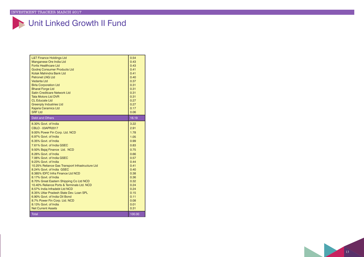### Unit Linked Growth II Fund

| <b>L&amp;T Finance Holdings Ltd</b><br>Manganese Ore India Ltd<br><b>Fortis Healthcare Ltd</b><br>Godrei Consumer Products Ltd<br>Kotak Mahindra Bank Ltd<br><b>Petronet LNG Ltd</b><br>Vedanta Ltd<br><b>Birla Corporation Ltd</b><br><b>Bharat Forge Ltd</b><br>Satin Creditcare Network Ltd<br><b>Tata Motors Ltd DVR</b><br><b>CL Educate Ltd</b><br><b>Greenply Industries Ltd</b><br><b>Kajaria Ceramics Ltd</b><br><b>SRF Ltd</b><br>Debt and Others                                                                                                                                                                                                                                                    | 0.54<br>0.43<br>0.43<br>0.41<br>0.41<br>0.40<br>0.37<br>0.31<br>0.31<br>0.31<br>0.31<br>0.27<br>0.27<br>0.17<br>0.06                                                         |
|----------------------------------------------------------------------------------------------------------------------------------------------------------------------------------------------------------------------------------------------------------------------------------------------------------------------------------------------------------------------------------------------------------------------------------------------------------------------------------------------------------------------------------------------------------------------------------------------------------------------------------------------------------------------------------------------------------------|------------------------------------------------------------------------------------------------------------------------------------------------------------------------------|
|                                                                                                                                                                                                                                                                                                                                                                                                                                                                                                                                                                                                                                                                                                                | 16.19                                                                                                                                                                        |
| 8.30% Govt. of India<br>CBLO - 03APR2017<br>9.00% Power Fin Corp. Ltd. NCD<br>6.97% Govt. of India<br>6.35% Govt. of India<br>7.61% Govt. of India GSEC<br>9.50% Bajaj Finance Ltd. NCD<br>8.26% Govt. of India<br>7.06% Govt. of India GSEC<br>9.23% Govt. of India<br>10.25% Reliance Gas Transport Infrastructure Ltd<br>8.24% Govt. of India GSEC<br>8.385% IDFC Infra Finance Ltd NCD<br>8.17% Govt. of India<br>8.70% Great Eastern Shipping Co Ltd NCD<br>10.40% Reliance Ports & Terminals Ltd. NCD<br>8.57% India Infradebt Ltd NCD<br>8.35% Uttar Pradesh State Dev. Loan SPL<br>6.90% Govt. of India Oil Bond<br>8.7% Power Fin Corp. Ltd. NCD<br>8.13% Govt. of India<br><b>Net Current Assets</b> | 3.22<br>2.91<br>1.78<br>1.05<br>0.99<br>0.83<br>0.75<br>0.66<br>0.57<br>0.44<br>0.41<br>0.40<br>0.38<br>0.36<br>0.32<br>0.24<br>0.24<br>0.15<br>0.11<br>0.08<br>0.01<br>0.31 |
| Total                                                                                                                                                                                                                                                                                                                                                                                                                                                                                                                                                                                                                                                                                                          | 100.00                                                                                                                                                                       |

 $\vert$  13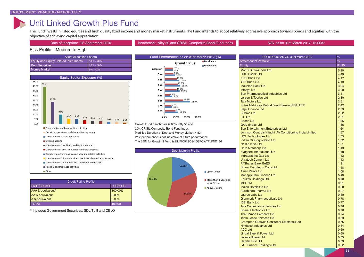### Unit Linked Growth Plus Fund

The Fund invests in listed equities and high quality fixed income and money market instruments. The Fund intends to adopt relatively aggressive approach towards bonds and equities with the objective of achieving capital appreciation.

Date of Inception: 13<sup>th</sup> September 2010 **Benchmark: Nifty 50 and CRISIL Composite Bond Fund Index NAV as on 31st March 2017: 16.0037** 

#### Risk Profile – Medium to High

| <b>Asset Allocation Pattern</b>              |               |  |
|----------------------------------------------|---------------|--|
| <b>Equity and Equity Related Instruments</b> | $50\% - 90\%$ |  |
| <b>Debt Securities</b>                       | $10\% - 50\%$ |  |
| <b>Money Market</b>                          | $0\% - 40\%$  |  |
|                                              |               |  |
| Equity Sector Exposure (%)                   |               |  |



| <b>Credit Rating Profile</b> |                |  |
|------------------------------|----------------|--|
| <b>PARTICULARS</b>           | <b>ULGPLUS</b> |  |
| AAA & equivalent*            | 100.00%        |  |
| AA & equivalent              | 0.00%          |  |
| A & equivalent               | 0.00%          |  |
| <b>TOTAL</b>                 | 100.00         |  |

\* Includes Government Securities, SDL,Tbill and CBLO



Growth Fund benchmark is 80% Nifty 50 and 20% CRISIL Composite Bond Fund Index. Modified Duration of Debt and Money Market: 4.82 Past performance is not indicative of future performance. The SFIN for Growth II Fund is ULIF00913/09/10GROWTPLFND136



| PORTFOLIO AS ON 31st March 2017<br>%                        |              |  |
|-------------------------------------------------------------|--------------|--|
| %<br><b>Statement of Portfolio</b>                          |              |  |
| <b>Equity</b>                                               | 81.95        |  |
| Maruti Suzuki India Ltd                                     | 5.20         |  |
| <b>HDFC Bank Ltd</b>                                        | 4.49         |  |
| <b>ICICI Bank Ltd</b>                                       | 4.17         |  |
| <b>YES Bank Ltd</b>                                         | 4.13         |  |
| <b>IndusInd Bank Ltd</b>                                    | 3.94         |  |
| <b>Infosys Ltd</b>                                          | 3.20         |  |
| <b>Sun Pharmaceutical Industries Ltd</b>                    | 3.11         |  |
| Larsen & Tourbo Ltd                                         | 2.80         |  |
| <b>Tata Motors Ltd</b>                                      | 2.51         |  |
| Kotak Mahindra Mutual Fund Banking PSU ETF                  | 2.42         |  |
| <b>Bajaj Finance Ltd</b>                                    | 2.03         |  |
| Subros Ltd                                                  | 2.02         |  |
| <b>ITC Ltd</b>                                              | 2.01         |  |
| <b>Bosch Ltd</b>                                            | 1.96         |  |
| <b>GAIL (India) Ltd</b>                                     | 1.86         |  |
| Zee Entertainment Enterprises Ltd                           | 1.64         |  |
| Johnson Controls Hitachi Air Conditioning India Limited     | 1.57         |  |
| <b>HCL Technologies Ltd</b>                                 | 1.55         |  |
| <b>Indian Oil Corporation Ltd</b>                           | 1.52         |  |
| Nestle India Ltd                                            | 1.51         |  |
| <b>Hero Motocorp Ltd</b>                                    | 1.49         |  |
| Syngene International Ltd                                   | 1.48         |  |
| <b>Indraprastha Gas Ltd</b><br><b>Ultratech Cement Ltd</b>  | 1.43         |  |
|                                                             | 1.43         |  |
| R*Shares Bank BeES                                          | 1.31<br>1.18 |  |
| <b>Bharat Petroleum Corp Ltd</b><br><b>Asian Paints Ltd</b> | 1.08         |  |
| <b>Manappuram Finance Ltd</b>                               | 0.99         |  |
| <b>Equitas Holdings Ltd</b>                                 | 0.96         |  |
| <b>MRF Ltd</b>                                              | 0.91         |  |
| <b>Indian Hotels Co Ltd</b>                                 | 0.88         |  |
| Aurobindo Pharma Ltd                                        | 0.87         |  |
| Laurus Labs Ltd                                             | 0.80         |  |
| <b>Glenmark Pharmaceuticals Ltd</b>                         | 0.78         |  |
| <b>IDBI Bank Ltd</b>                                        | 0.77         |  |
| <b>Tata Consultancy Services Ltd</b>                        | 0.76         |  |
| <b>Bharat Electronics Ltd</b>                               | 0.76         |  |
| The Ramco Cements Ltd                                       | 0.74         |  |
| <b>Team Lease Services Ltd</b>                              | 0.69         |  |
| <b>Crompton Greaves Consumer Electricals Ltd</b>            | 0.65         |  |
| <b>Hindalco Industries Ltd</b>                              | 0.64         |  |
| <b>ACC Ltd</b>                                              | 0.60         |  |
| <b>Jindal Steel &amp; Power Ltd</b>                         | 0.60         |  |
| <b>Dalmia Bharat Ltd</b>                                    | 0.55         |  |
| <b>Capital First Ltd</b>                                    | 0.53         |  |
| <b>L&amp;T Finance Holdings Ltd</b>                         | 0.52         |  |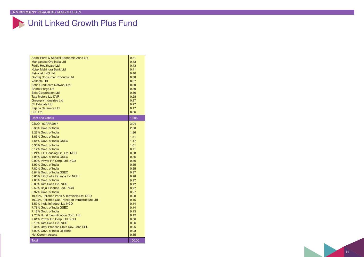# Unit Linked Growth Plus Fund

| Adani Ports & Special Economic Zone Ltd          | 0.51   |
|--------------------------------------------------|--------|
| Manganese Ore India Ltd                          | 0.43   |
| <b>Fortis Healthcare Ltd</b>                     | 0.43   |
| Kotak Mahindra Bank Ltd                          | 0.41   |
| <b>Petronet LNG Ltd</b>                          | 0.40   |
| Godrej Consumer Products Ltd                     | 0.38   |
| <b>Vedanta Ltd</b>                               | 0.37   |
| Satin Creditcare Network Ltd                     | 0.30   |
| <b>Bharat Forge Ltd</b>                          | 0.30   |
| <b>Birla Corporation Ltd</b>                     | 0.30   |
| <b>Tata Motors Ltd DVR</b>                       | 0.28   |
| <b>Greenply Industries Ltd</b>                   | 0.27   |
| <b>CL Educate Ltd</b>                            | 0.27   |
| <b>Kajaria Ceramics Ltd</b>                      | 0.17   |
| <b>SRF Ltd</b>                                   | 0.06   |
|                                                  |        |
| <b>Debt and Others</b>                           | 18.05  |
| CBLO - 03APR2017                                 | 3.04   |
| 6.35% Govt. of India                             | 2.50   |
| 9.23% Govt. of India                             | 1.86   |
| 8.83% Govt. of India                             | 1.51   |
| 7.61% Govt. of India GSEC                        | 1.47   |
| 8.30% Govt. of India                             | 1.01   |
| 8.17% Govt. of India                             | 0.71   |
| 9.24% LIC Housing Fin. Ltd. NCD                  | 0.58   |
| 7.06% Govt. of India GSEC                        | 0.56   |
| 9.00% Power Fin Corp. Ltd. NCD                   | 0.55   |
| 8.97% Govt. of India                             | 0.55   |
| 7.80% Govt. of India                             | 0.55   |
| 6.84% Govt. of India GSEC                        | 0.37   |
| 8.60% IDFC Infra Finance Ltd NCD                 | 0.28   |
| 7.80% Govt. of India                             | 0.27   |
| 8.08% Tata Sons Ltd, NCD                         | 0.27   |
| 9.50% Bajaj Finance Ltd. NCD                     | 0.27   |
| 6.97% Govt. of India                             | 0.27   |
| 10.40% Reliance Ports & Terminals Ltd. NCD       | 0.20   |
| 10.25% Reliance Gas Transport Infrastructure Ltd | 0.15   |
| 8.57% India Infradebt Ltd NCD                    | 0.14   |
| 7.73% Govt. of India GSEC                        | 0.14   |
| 7.16% Govt. of India                             | 0.13   |
| 9.75% Rural Electrification Corp. Ltd.           | 0.12   |
| 9.61% Power Fin Corp. Ltd. NCD                   | 0.06   |
| 9.18% Tata Sons Ltd. NCD                         | 0.06   |
| 8.35% Uttar Pradesh State Dev. Loan SPL          | 0.05   |
| 6.90% Govt. of India Oil Bond                    | 0.03   |
| <b>Net Current Assets</b>                        | 0.35   |
| <b>Total</b>                                     | 100.00 |
|                                                  |        |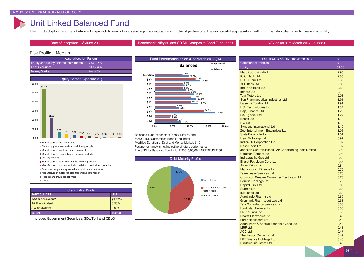### Unit Linked Balanced Fund

The Fund adopts a relatively balanced approach towards bonds and equities exposure with the objective of achieving capital appreciation with minimal short-term performance volatility.

Date of Inception: 16<sup>th</sup> June 2008 **Benchmark: Nifty 50 and CRISIL Composite Bond Fund Index NAV as on 31st March 2017: 22.5880** 

### Risk Profile – Medium

| <b>Asset Allocation Pattern</b>              |               |
|----------------------------------------------|---------------|
| <b>Equity and Equity Related Instruments</b> | $30\% - 70\%$ |
| <b>Debt Securities</b>                       | $30\% - 70\%$ |
| Money Market                                 | $0\% - 40\%$  |
|                                              |               |



| <b>Credit Rating Profile</b> |            |  |
|------------------------------|------------|--|
| <b>PARTICULARS</b>           | <b>ULB</b> |  |
| AAA & equivalent*            | 99.47%     |  |
| AA & equivalent              | 0.53%      |  |
| A & equivalent               | $0.00\%$   |  |
| <b>TOTAL</b>                 | 100.00     |  |

\* Includes Government Securities, SDL,Tbill and CBLO



Balanced Fund benchmark is 50% Nifty 50 and 50% CRISIL Customized Bond Fund Index. Modified Duration of Debt and Money Market: 5.10 Past performance is not indicative of future performance. The SFIN for Balanced Fund is ULIF00316/06/08BLNCEDFUND136.



| PORTFOLIO AS ON 31st March 2017<br>%                    |              |  |  |
|---------------------------------------------------------|--------------|--|--|
| Statement of Portfolio                                  | %            |  |  |
| Equity                                                  | 54.53        |  |  |
| Maruti Suzuki India Ltd                                 | 2.95         |  |  |
| <b>ICICI Bank Ltd</b>                                   | 2.85         |  |  |
| <b>HDFC Bank Ltd</b>                                    | 2.85         |  |  |
| <b>YES Bank Ltd</b>                                     | 2.69         |  |  |
| <b>IndusInd Bank Ltd</b>                                | 2.63         |  |  |
| <b>Infosys Ltd</b>                                      | 2.19         |  |  |
| <b>Tata Motors Ltd</b>                                  | 2.08         |  |  |
| <b>Sun Pharmaceutical Industries Ltd</b>                | 1.91         |  |  |
| Larsen & Tourbo Ltd                                     | 1.91         |  |  |
| <b>HCL Technologies Ltd</b>                             | 1.34         |  |  |
| <b>Bajaj Finance Ltd</b>                                | 1.28         |  |  |
| <b>GAIL (India) Ltd</b>                                 | 1.27         |  |  |
| <b>Bosch Ltd</b>                                        | 1.19         |  |  |
| <b>ITC Ltd</b>                                          | 1.19         |  |  |
| <b>Syngene International Ltd</b>                        | 1.10         |  |  |
| Zee Entertainment Enterprises Ltd                       | 1.06         |  |  |
| <b>State Bank of India</b>                              | 1.01         |  |  |
| <b>Hero Motocorp Ltd</b>                                | 0.97         |  |  |
| <b>Indian Oil Corporation Ltd</b>                       | 0.97         |  |  |
| Nestle India Ltd                                        | 0.97         |  |  |
| Johnson Controls Hitachi Air Conditioning India Limited | 0.94         |  |  |
| <b>Ultratech Cement Ltd</b>                             | 0.94         |  |  |
| <b>Indraprastha Gas Ltd</b>                             | 0.89         |  |  |
| <b>Bharat Petroleum Corp Ltd</b>                        | 0.86         |  |  |
| <b>Asian Paints Ltd</b>                                 | 0.84         |  |  |
| <b>Manappuram Finance Ltd</b>                           | 0.79         |  |  |
| <b>Team Lease Services Ltd</b>                          | 0.78         |  |  |
| <b>Crompton Greaves Consumer Electricals Ltd</b>        | 0.73<br>0.70 |  |  |
| <b>Equitas Holdings Ltd</b><br><b>Capital First Ltd</b> | 0.69         |  |  |
| <b>Subros Ltd</b>                                       | 0.64         |  |  |
| <b>IDBI Bank Ltd</b>                                    | 0.63         |  |  |
| Aurobindo Pharma Ltd                                    | 0.60         |  |  |
| <b>Glenmark Pharmaceuticals Ltd</b>                     | 0.58         |  |  |
| <b>Tata Consultancy Services Ltd</b>                    | 0.53         |  |  |
| <b>Hindustan Unilever Ltd</b>                           | 0.53         |  |  |
| Laurus Labs Ltd                                         | 0.53         |  |  |
| <b>Bharat Electronics Ltd</b>                           | 0.49         |  |  |
| <b>Fortis Healthcare Ltd</b>                            | 0.48         |  |  |
| Adani Ports & Special Economic Zone Ltd                 | 0.48         |  |  |
| <b>MRF Ltd</b>                                          | 0.48         |  |  |
| <b>ACC Ltd</b>                                          | 0.47         |  |  |
| The Ramco Cements Ltd                                   | 0.47         |  |  |
| <b>L&amp;T Finance Holdings Ltd</b>                     | 0.46         |  |  |
| <b>Hindalco Industries Ltd</b>                          | 0.45         |  |  |
|                                                         |              |  |  |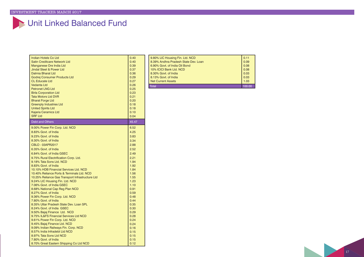# Unit Linked Balanced Fund

| Indian Hotels Co Ltd                                     | 0.40         |
|----------------------------------------------------------|--------------|
| Satin Creditcare Network Ltd                             | 0.40         |
| Manganese Ore India Ltd                                  | 0.39         |
| Jindal Steel & Power Ltd                                 | 0.37         |
| <b>Dalmia Bharat Ltd</b>                                 | 0.36         |
| Godrej Consumer Products Ltd                             | 0.29         |
| <b>CL Educate Ltd</b>                                    | 0.27         |
| Vedanta Ltd                                              | 0.26         |
| <b>Petronet LNG Ltd</b>                                  | 0.25         |
| <b>Birla Corporation Ltd</b>                             | 0.23         |
| <b>Tata Motors Ltd DVR</b>                               | 0.21         |
| <b>Bharat Forge Ltd</b>                                  | 0.20         |
| <b>Greenply Industries Ltd</b>                           | 0.18         |
| <b>United Spirits Ltd</b>                                | 0.18         |
| Kajaria Ceramics Ltd                                     | 0.10         |
| <b>SRF Ltd</b>                                           | 0.04         |
| <b>Debt and Others</b>                                   | 45.47        |
| 9.00% Power Fin Corp. Ltd. NCD                           | 6.52         |
| 8.83% Govt. of India                                     | 4.25         |
| 9.23% Govt. of India                                     | 3.83         |
| 8.30% Govt. of India                                     | 3.34         |
| CBLO - 03APR2017                                         | 2.88         |
| 6.35% Govt. of India                                     | 2.52         |
| 6.84% Govt. of India GSEC                                | 2.49         |
| 9.75% Rural Electrification Corp. Ltd.                   | 2.21         |
| 9.18% Tata Sons Ltd. NCD                                 | 1.94         |
| 8.83% Govt. of India                                     | 1.92         |
| 10.10% HDB Financial Services Ltd. NCD                   | 1.84         |
| 10.40% Reliance Ports & Terminals Ltd. NCD               | 1.56         |
| 10.25% Reliance Gas Transport Infrastructure Ltd         | 1.55         |
| 9.24% LIC Housing Fin. Ltd. NCD                          | 1.23         |
| 7.06% Govt. of India GSEC                                | 1.10         |
| 8.68% National Cap Reg Plan NCD                          | 0.91         |
| 8.27% Govt. of India                                     | 0.59         |
| 9.36% Power Fin Corp. Ltd. NCD                           | 0.48         |
| 7.80% Govt. of India                                     | 0.44         |
| 8.35% Uttar Pradesh State Dev. Loan SPL                  | 0.35         |
| 8.24% Govt. of India GSEC                                | 0.30         |
| 9.50% Bajaj Finance Ltd. NCD                             | 0.29         |
| 9.75% IL&FS Financial Services Ltd NCD                   | 0.28         |
| 9.61% Power Fin Corp. Ltd. NCD                           | 0.24         |
| 9.45% Bajaj Finance Ltd. NCD                             | 0.24         |
| 9.09% Indian Railways Fin. Corp. NCD                     | 0.16         |
| 8.57% India Infradebt Ltd NCD<br>8.97% Tata Sons Ltd NCD | 0.15         |
| 7.80% Govt. of India                                     | 0.15<br>0.15 |
| 8.70% Great Eastern Shipping Co Ltd NCD                  | 0.12         |
|                                                          |              |

|  | 9.80% LIC Housing Fin. Ltd. NCD      | 0.11 |
|--|--------------------------------------|------|
|  | 8.39% Andhra Pradesh State Dev. Loan | 0.09 |
|  | 6.90% Govt. of India Oil Bond        | 0.08 |
|  | 10% ICICI Bank Ltd. NCD              | 0.08 |
|  | 8.30% Govt. of India                 | 0.03 |
|  | 8.13% Govt. of India                 | 0.03 |
|  | <b>Net Current Assets</b>            | 1.03 |
|  | ั∩tal                                |      |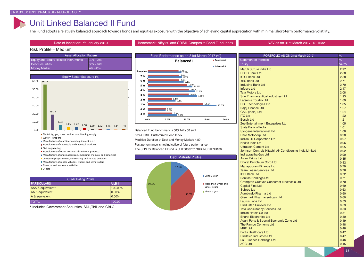### Unit Linked Balanced II Fund

The Fund adopts a relatively balanced approach towards bonds and equities exposure with the objective of achieving capital appreciation with minimal short-term performance volatility.

|  | Date of Inception: 7 <sup>th</sup> January 2010 |  |  |  |
|--|-------------------------------------------------|--|--|--|
|--|-------------------------------------------------|--|--|--|

#### Benchmark: Nifty 50 and CRISIL Composite Bond Fund Index **Department 2010 Benchmark: Nifty 50 and CRISIL Composite Bond Fund Index**

#### Risk Profile – Medium

| <b>Asset Allocation Pattern</b>              |                |
|----------------------------------------------|----------------|
| <b>Equity and Equity Related Instruments</b> | $130\% - 70\%$ |
| Debt Securities                              | $130\% - 70\%$ |
| <b>Money Market</b>                          | $0\% - 40\%$   |



| <b>Credit Rating Profile</b> |          |
|------------------------------|----------|
| <b>PARTICULARS</b>           | ULB-II   |
| AAA & equivalent*            | 100.00%  |
| AA & equivalent              | $0.00\%$ |
| A & equivalent               | $0.00\%$ |
| <b>TOTAL</b>                 | 100.00   |

\* Includes Government Securities, SDL,Tbill and CBLO



Balanced Fund benchmark is 50% Nifty 50 and 50% CRISIL Customized Bond Index. Modified Duration of Debt and Money Market: 4.89 Past performance is not Indicative of future performance. The SFIN for Balanced II Fund is ULIF00807/01/10BLNCDIIFND136.



| PORTFOLIO AS ON 31st March 2017                         | %     |
|---------------------------------------------------------|-------|
| <b>Statement of Portfolio</b>                           | %     |
| Equity                                                  | 54.75 |
| Maruti Suzuki India Ltd                                 | 2.97  |
| <b>HDFC Bank Ltd</b>                                    | 2.88  |
| <b>ICICI Bank Ltd</b>                                   | 2.88  |
| <b>YES Bank Ltd</b>                                     | 2.71  |
| <b>IndusInd Bank Ltd</b>                                | 2.70  |
| <b>Infosys Ltd</b>                                      | 2.17  |
| <b>Tata Motors Ltd</b>                                  | 2.08  |
| <b>Sun Pharmaceutical Industries Ltd</b>                | 1.93  |
| Larsen & Tourbo Ltd                                     | 1.89  |
| <b>HCL Technologies Ltd</b>                             | 1.35  |
| <b>Bajaj Finance Ltd</b>                                | 1.27  |
| <b>GAIL (India) Ltd</b>                                 | 1.24  |
| <b>ITC Ltd</b>                                          | 1.22  |
| <b>Bosch Ltd</b>                                        | 1.21  |
| Zee Entertainment Enterprises Ltd                       | 1.05  |
| State Bank of India                                     | 1.01  |
| <b>Syngene International Ltd</b>                        | 1.00  |
| <b>Hero Motocorp Ltd</b>                                | 0.98  |
| <b>Indian Oil Corporation Ltd</b>                       | 0.97  |
| Nestle India Ltd                                        | 0.96  |
| <b>Ultratech Cement Ltd</b>                             | 0.95  |
| Johnson Controls Hitachi Air Conditioning India Limited | 0.92  |
| Indraprastha Gas Ltd                                    | 0.90  |
| <b>Asian Paints Ltd</b>                                 | 0.85  |
| <b>Bharat Petroleum Corp Ltd</b>                        | 0.82  |
| <b>Manappuram Finance Ltd</b>                           | 0.79  |
| <b>Team Lease Services Ltd</b>                          | 0.76  |
| <b>IDBI Bank Ltd</b>                                    | 0.72  |
| <b>Equitas Holdings Ltd</b>                             | 0.71  |
| <b>Crompton Greaves Consumer Electricals Ltd</b>        | 0.70  |
| <b>Capital First Ltd</b>                                | 0.69  |
| Subros Ltd                                              | 0.63  |
| Aurobindo Pharma Ltd                                    | 0.60  |
| <b>Glenmark Pharmaceuticals Ltd</b>                     | 0.60  |
| Laurus Labs Ltd                                         | 0.53  |
| <b>Hindustan Unilever Ltd</b>                           | 0.53  |
| <b>Tata Consultancy Services Ltd</b>                    | 0.53  |
| Indian Hotels Co Ltd                                    | 0.51  |
| <b>Bharat Electronics Ltd</b>                           | 0.50  |
| Adani Ports & Special Economic Zone Ltd                 | 0.49  |
| <b>The Ramco Cements Ltd</b>                            | 0.48  |
| MRF I td                                                | 0.48  |
| <b>Fortis Healthcare Ltd</b>                            | 0.47  |
| <b>Hindalco Industries Ltd</b>                          | 0.47  |
| <b>L&amp;T Finance Holdings Ltd</b>                     | 0.46  |
| <b>ACC Ltd</b>                                          | 0.45  |
|                                                         |       |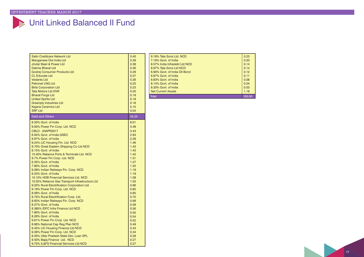# Unit Linked Balanced II Fund

| <b>Satin Creditcare Network Ltd</b>              | 0.40  |
|--------------------------------------------------|-------|
| Manganese Ore India Ltd                          | 0.39  |
| <b>Jindal Steel &amp; Power Ltd</b>              | 0.38  |
| <b>Dalmia Bharat Ltd</b>                         | 0.36  |
| Godrej Consumer Products Ltd                     | 0.29  |
| <b>CL Educate Ltd</b>                            | 0.27  |
| Vedanta Ltd                                      | 0.26  |
| <b>Petronet LNG Ltd</b>                          | 0.25  |
| <b>Birla Corporation Ltd</b>                     | 0.23  |
| <b>Tata Motors Ltd DVR</b>                       | 0.20  |
| <b>Bharat Forge Ltd</b>                          | 0.19  |
| <b>United Spirits Ltd</b>                        | 0.18  |
| <b>Greenply Industries Ltd</b>                   | 0.18  |
| <b>Kajaria Ceramics Ltd</b>                      | 0.10  |
| <b>SRF Ltd</b>                                   | 0.04  |
| <b>Debt and Others</b>                           | 45.25 |
| 8.30% Govt. of India                             | 8.01  |
| 9.00% Power Fin Corp. Ltd. NCD                   | 3.48  |
| CBLO - 03APR2017                                 | 3.43  |
| 6.84% Govt. of India GSEC                        | 2.93  |
| 8.97% Govt. of India                             | 2.28  |
| 9.24% LIC Housing Fin. Ltd. NCD                  | 1.46  |
| 8.70% Great Eastern Shipping Co Ltd NCD          | 1.43  |
| 8.15% Govt. of India                             | 1.43  |
| 10.40% Reliance Ports & Terminals Ltd. NCD       | 1.42  |
| 8.7% Power Fin Corp. Ltd. NCD                    | 1.31  |
| 6.35% Govt. of India                             | 1.27  |
| 7.80% Govt. of India                             | 1.25  |
| 9.09% Indian Railways Fin. Corp. NCD             | 1.19  |
| 9.23% Govt. of India                             | 1.18  |
| 10.10% HDB Financial Services Ltd. NCD           | 1.08  |
| 10.25% Reliance Gas Transport Infrastructure Ltd | 1.03  |
| 9.02% Rural Electrification Corporation Ltd      | 0.86  |
| 9.18% Power Fin Corp. Ltd. NCD                   | 0.85  |
| 8.08% Govt. of India                             | 0.85  |
| 9.75% Rural Electrification Corp. Ltd.           | 0.70  |
| 8.83% Indian Railways Fin. Corp. NCD             | 0.68  |
| 8.27% Govt. of India                             | 0.58  |
| 8.385% IDFC Infra Finance Ltd NCD                | 0.56  |
| 7.80% Govt. of India                             | 0.55  |
| 8.26% Govt. of India                             | 0.54  |
| 9.61% Power Fin Corp. Ltd. NCD                   | 0.52  |
| 8.68% National Cap Reg Plan NCD                  | 0.49  |
| 9.45% LIC Housing Finance Ltd NCD                | 0.43  |
| 9.36% Power Fin Corp. Ltd. NCD                   | 0.34  |
| 8.35% Uttar Pradesh State Dev. Loan SPL          | 0.28  |
| 9.50% Bajaj Finance Ltd. NCD                     | 0.27  |
| 9.75% IL&FS Financial Services Ltd NCD           | 0.27  |

| 9.18% Tata Sons Ltd, NCD      | 0.23   |
|-------------------------------|--------|
| 7.16% Govt. of India          | 0.20   |
| 8.57% India Infradebt Ltd NCD | 0.14   |
| 8.97% Tata Sons Ltd NCD       | 0.14   |
| 6.90% Govt. of India Oil Bond | 0.12   |
| 6.97% Govt. of India          | 0.11   |
| 8.83% Govt. of India          | 0.08   |
| 8.13% Govt. of India          | 0.04   |
| 8.30% Govt. of India          | 0.03   |
| <b>Net Current Assets</b>     | 1.18   |
| Total                         | 100.00 |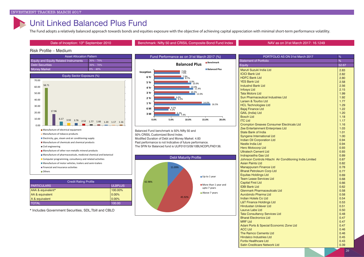### Unit Linked Balanced Plus Fund

The Fund adopts a relatively balanced approach towards bonds and equities exposure with the objective of achieving capital appreciation with minimal short-term performance volatility.

Date of Inception: 13<sup>th</sup> September 2010 **Benchmark: Nifty 50 and CRISIL Composite Bond Fund Index** NAV as on 31st March 2017: 16.1249

#### Risk Profile – Medium



| <b>Credit Rating Profile</b> |                |  |
|------------------------------|----------------|--|
| <b>PARTICULARS</b>           | <b>ULBPLUS</b> |  |
| AAA & equivalent*            | 100.00%        |  |
| AA & equivalent              | $0.00\%$       |  |
| A & equivalent               | 0.00%          |  |
| <b>TOTAL</b>                 | 100.00         |  |

\* Includes Government Securities, SDL,Tbill and CBLO



Balanced Fund benchmark is 50% Nifty 50 and 50% CRISIL Customized Bond Index. Modified Duration of Debt and Money Market: 4.83 Past performance is not Indicative of future performance. The SFIN for Balanced fund is ULIF01013/09/10BLNCDPLFND136.



| PORTFOLIO AS ON 31st March 2017                         | %     |
|---------------------------------------------------------|-------|
| Statement of Portfolio                                  | %     |
| <b>Equity</b>                                           | 52.67 |
| Maruti Suzuki India Ltd                                 | 2.83  |
| <b>ICICI Bank I td.</b>                                 | 2.82  |
| <b>HDFC Bank Ltd</b>                                    | 2.80  |
| <b>YES Bank Ltd</b>                                     | 2.58  |
| <b>IndusInd Bank Ltd</b>                                | 2.56  |
| <b>Infosys Ltd</b>                                      | 2.15  |
| <b>Tata Motors Ltd</b>                                  | 1.99  |
| Sun Pharmaceutical Industries Ltd                       | 1.92  |
| Larsen & Tourbo Ltd                                     | 1.77  |
| <b>HCL Technologies Ltd</b>                             | 1.29  |
| <b>Bajaj Finance Ltd</b>                                | 1.22  |
| <b>GAIL (India) Ltd</b>                                 | 1.20  |
| <b>Bosch Ltd</b>                                        | 1.18  |
| <b>ITC Ltd</b>                                          | 1.17  |
| <b>Crompton Greaves Consumer Electricals Ltd</b>        | 1.16  |
| Zee Entertainment Enterprises Ltd                       | 1.03  |
| <b>State Bank of India</b>                              | 1.01  |
| <b>Syngene International Ltd</b>                        | 1.00  |
| <b>Indian Oil Corporation Ltd</b>                       | 0.94  |
| Nestle India Ltd                                        | 0.94  |
| <b>Hero Motocorp Ltd</b>                                | 0.93  |
| <b>Ultratech Cement Ltd</b>                             | 0.93  |
| Indraprastha Gas Ltd                                    | 0.89  |
| Johnson Controls Hitachi Air Conditioning India Limited | 0.87  |
| <b>Asian Paints Ltd</b>                                 | 0.82  |
| <b>Manappuram Finance Ltd</b>                           | 0.78  |
| <b>Bharat Petroleum Corp Ltd</b>                        | 0.77  |
| <b>Equitas Holdings Ltd</b>                             | 0.69  |
| <b>Team Lease Services Ltd</b>                          | 0.68  |
| <b>Capital First Ltd</b>                                | 0.66  |
| <b>IDBI Bank Ltd</b>                                    | 0.62  |
| <b>Glenmark Pharmaceuticals Ltd</b>                     | 0.58  |
| Aurobindo Pharma Ltd                                    | 0.58  |
| <b>Indian Hotels Co Ltd</b>                             | 0.54  |
| <b>L&amp;T Finance Holdings Ltd</b>                     | 0.53  |
| <b>Hindustan Unilever Ltd</b>                           | 0.51  |
| Laurus Labs Ltd                                         | 0.50  |
| <b>Tata Consultancy Services Ltd</b>                    | 0.48  |
| <b>Bharat Electronics Ltd</b>                           | 0.47  |
| MRF I td                                                | 0.47  |
| Adani Ports & Special Economic Zone Ltd                 | 0.47  |
| <b>ACC Ltd</b>                                          | 0.46  |
| The Ramco Cements Ltd                                   | 0.46  |
| <b>Hindalco Industries Ltd</b>                          | 0.45  |
| <b>Fortis Healthcare Ltd</b>                            | 0.43  |
| Satin Creditcare Network Ltd                            | 0.39  |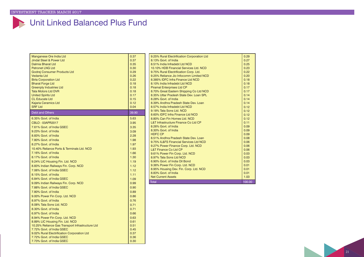### Unit Linked Balanced Plus Fund

| Manganese Ore India Ltd                          | 0.37  |
|--------------------------------------------------|-------|
| <b>Jindal Steel &amp; Power Ltd</b>              | 0.37  |
| <b>Dalmia Bharat Ltd</b>                         | 0.35  |
| <b>Petronet LNG Ltd</b>                          | 0.30  |
| Godrej Consumer Products Ltd                     | 0.29  |
| <b>Vedanta Ltd</b>                               | 0.26  |
| <b>Birla Corporation Ltd</b>                     | 0.22  |
| <b>Bharat Forge Ltd</b>                          | 0.18  |
| <b>Greenply Industries Ltd</b>                   | 0.18  |
| <b>Tata Motors Ltd DVR</b>                       | 0.18  |
| <b>United Spirits Ltd</b>                        | 0.17  |
| <b>CL Educate Ltd</b>                            | 0.15  |
| Kajaria Ceramics Ltd                             | 0.12  |
| <b>SRF Ltd</b>                                   | 0.04  |
| <b>Debt and Others</b>                           | 39.90 |
| 6.35% Govt. of India                             | 5.63  |
| CBLO - 03APR2017                                 | 3.95  |
| 7.61% Govt. of India GSEC                        | 3.35  |
| 9.23% Govt. of India                             | 3.09  |
| 8.83% Govt. of India                             | 2.28  |
| 7.80% Govt. of India                             | 1.98  |
| 8.27% Govt. of India                             | 1.97  |
| 10.40% Reliance Ports & Terminals Ltd. NCD       | 1.93  |
| 7.16% Govt. of India                             | 1.66  |
| 8.17% Govt. of India                             | 1.30  |
| 9.24% LIC Housing Fin. Ltd. NCD                  | 1.19  |
| 8.83% Indian Railways Fin. Corp. NCD             | 1.12  |
| 7.06% Govt. of India GSEC                        | 1.12  |
| 8.15% Govt. of India                             | 1.11  |
| 6.84% Govt. of India GSEC                        | 1.09  |
| 9.09% Indian Railways Fin. Corp. NCD             | 0.99  |
| 7.88% Govt. of India GSEC                        | 0.90  |
| 7.80% Govt. of India                             | 0.89  |
| 9.00% Power Fin Corp. Ltd. NCD                   | 0.86  |
| 8.97% Govt. of India                             | 0.76  |
| 8.08% Tata Sons Ltd. NCD                         | 0.71  |
| 8.30% Govt. of India                             | 0.71  |
| 6.97% Govt. of India                             | 0.66  |
| 8.94% Power Fin Corp. Ltd. NCD                   | 0.63  |
| 8.89% LIC Housing Fin. Ltd. NCD                  | 0.61  |
| 10.25% Reliance Gas Transport Infrastructure Ltd | 0.51  |
| 7.72% Govt. of India GSEC                        | 0.45  |
| 9.02% Rural Electrification Corporation Ltd      | 0.37  |
| 7.72% Govt. of India GSEC                        | 0.36  |
| 7.73% Govt. of India GSEC                        | 0.30  |

| 9.25% Rural Electrification Corporation Ltd | 0.29   |
|---------------------------------------------|--------|
| 8.13% Govt. of India                        | 0.27   |
| 8.51% India Infradebt I td NCD              | 0.25   |
| 10.10% HDB Financial Services Ltd. NCD      | 0.23   |
| 9.75% Rural Electrification Corp. Ltd.      | 0.22   |
| 9.25% Reliance Jio Infocomm Limited NCD     | 0.20   |
| 8.385% IDEC Infra Finance I td NCD          | 0.18   |
|                                             |        |
| 8.10% India Infradebt Ltd NCD               | 0.18   |
| <b>Piramal Enterprises Ltd CP</b>           | 0.17   |
| 8.70% Great Eastern Shipping Co Ltd NCD     | 0.17   |
| 8.35% Uttar Pradesh State Dev. Loan SPL     | 0.14   |
| 8.28% Govt, of India                        | 0.14   |
| 8.39% Andhra Pradesh State Dev Loan         | 0.14   |
| 8.57% India Infradebt I td NCD              | 0.12   |
| 9.18% Tata Sons Ltd. NCD                    | 0.12   |
| 8.60% IDEC Infra Finance I td NCD           | 0.12   |
| 8.80% Can Fin Homes Ltd, NCD                | 0.12   |
| L&T Infrastructure Finance Co Ltd CP        | 0.11   |
| 8.26% Govt. of India                        | 0.09   |
| 8.30% Govt. of India                        | 0.09   |
| HDFC CP                                     | 0.09   |
| 8.51% Andhra Pradesh State Dev Loan         | 0.08   |
| 9.75% IL&FS Financial Services Ltd NCD      | 0.06   |
| 9.27% Power Finance Corp. Ltd. NCD          | 0.06   |
| L&T Finance Co Ltd CP                       | 0.06   |
| 9.61% Power Fin Corp. Ltd. NCD              | 0.03   |
| 8.97% Tata Sons Ltd NCD                     | 0.03   |
| 6.90% Govt. of India Oil Bond               | 0.03   |
| 9.36% Power Fin Corp. Ltd. NCD              | 0.01   |
| 8.95% Housing Dev. Fin. Corp. Ltd. NCD      | 0.01   |
| 8.83% Govt. of India                        | 0.01   |
| <b>Net Current Assets</b>                   | 1.03   |
| <b>Total</b>                                | 100.00 |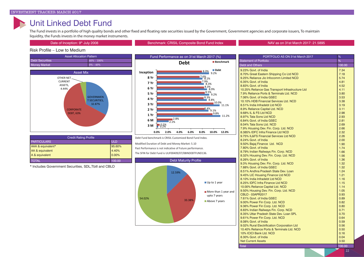### Unit Linked Debt Fund

The Fund invests in a portfolio of high quality bonds and other fixed and floating rate securities issued by the Government, Government agencies and corporate issuers, To maintain liquidity, the Funds invests in the money market instruments.

#### Date of Inception: 9<sup>th</sup> July 2008 **Benchmark: CRISIL Composite Bond Fund Index** NAV as on 31st March 2017: 21.5895

#### Risk Profile – Low to Medium



| <b>Credit Rating Profile</b> |            |  |
|------------------------------|------------|--|
| <b>PARTICULARS</b>           | <b>ULD</b> |  |
| AAA & equivalent*            | 95.60%     |  |
| AA & equivalent              | 4.40%      |  |
| A & equivalent               | 0.00%      |  |
| TOTAL                        | 100.00     |  |

\* Includes Government Securities, SDL,Tbill and CBLO



Debt Fund benchmark is CRISIL Customized Bond Fund Index. Modified Duration of Debt and Money Market: 5.10 Past Performance is not indicative of Future performance. The SFIN for Debt Fund is ULIF00409/07/08INDEBTFUND136.



| PORTFOLIO AS ON 31st March 2017                  | %      |
|--------------------------------------------------|--------|
| <b>Statement of Portfolio</b>                    |        |
| <b>Debt and Others</b>                           | 100.00 |
| 9.23% Govt. of India                             | 7.34   |
| 8.70% Great Eastern Shipping Co Ltd NCD          | 7.18   |
| 9.25% Reliance Jio Infocomm Limited NCD          | 5.74   |
| 6.35% Govt. of India                             | 4.81   |
| 8.83% Govt. of India                             | 4.52   |
| 10.25% Reliance Gas Transport Infrastructure Ltd | 4.11   |
| 7.9% Reliance Ports & Terminals Ltd. NCD         | 3.80   |
| 7.06% Govt. of India GSEC                        | 3.53   |
| 10.10% HDB Financial Services Ltd. NCD           | 3.38   |
| 8.51% India Infradebt Ltd NCD                    | 3.19   |
| 8.9% Reliance Capital Ltd. NCD                   | 3.11   |
| 9.68% IL & FS Ltd NCD                            | 2.98   |
| 8.97% Tata Sons Ltd NCD                          | 2.93   |
| 6.84% Govt. of India GSEC                        | 2.81   |
| 8.04% Tata Sons Ltd. NCD                         | 2.69   |
| 7.9% Housing Dev. Fin. Corp. Ltd. NCD            | 2.66   |
| 8.385% IDFC Infra Finance Ltd NCD                | 2.32   |
| 9.75% IL&FS Financial Services Ltd NCD           | 2.26   |
| 8.24% Govt. of India                             | 2.00   |
| 9.50% Bajaj Finance Ltd. NCD                     | 1.90   |
| 7.80% Govt. of India                             | 1.74   |
| 8.79% Indian Railways Fin. Corp. NCD             | 1.66   |
| 8.32% Housing Dev. Fin. Corp. Ltd. NCD           | 1.56   |
| 8.26% Govt. of India                             | 1.36   |
| 9.3% Housing Dev. Fin. Corp. Ltd. NCD            | 1.32   |
| 7.88% Govt. of India GSEC                        | 1.32   |
| 8.51% Andhra Pradesh State Dev. Loan             | 1.24   |
| 9.45% LIC Housing Finance Ltd NCD                | 1.21   |
| 8.10% India Infradebt Ltd NCD                    | 1.16   |
| 8.25% IDFC Infra Finance Ltd NCD                 | 1.15   |
| 10.00% Reliance Capital Ltd. NCD                 | 1.14   |
| 9.50% Housing Dev. Fin. Corp. Ltd. NCD           | 1.05   |
| CBLO - 03APR2017                                 | 0.93   |
| 7.61% Govt. of India GSEC                        | 0.89   |
| 9.00% Power Fin Corp. Ltd. NCD                   | 0.82   |
| 9.36% Power Fin Corp. Ltd. NCD                   | 0.80   |
| 8.83% Indian Railways Fin. Corp. NCD             | 0.71   |
| 8.35% Uttar Pradesh State Dev. Loan SPL          | 0.70   |
| 9.61% Power Fin Corp. Ltd. NCD                   | 0.64   |
| 8.08% Govt. of India                             | 0.59   |
| 9.02% Rural Electrification Corporation Ltd      | 0.56   |
| 10.40% Reliance Ports & Terminals Ltd. NCD       | 0.50   |
| 10% ICICI Bank Ltd. NCD                          | 0.16   |
| 8.30% Govt. of India                             | 0.04   |
| <b>Net Current Assets</b>                        | 3.50   |
| <b>Total</b>                                     | 100.00 |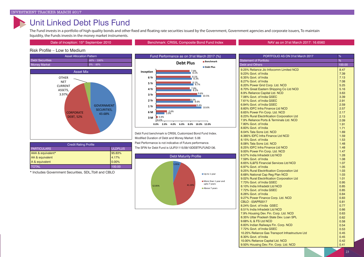### Unit Linked Debt Plus Fund

The Fund invests in a portfolio of high quality bonds and other fixed and floating rate securities issued by the Government, Government agencies and corporate issuers, To maintain liquidity, the Funds invests in the money market instruments.

Date of Inception: 15<sup>th</sup> September 2010 **Benchmark: CRISIL Composite Bond Fund Index** NAV as on 31st March 2017: 16.6560

#### Risk Profile – Low to Medium



| <b>Credit Rating Profile</b> |                |
|------------------------------|----------------|
| <b>PARTICULARS</b>           | <b>ULDPLUS</b> |
| AAA & equivalent*            | 95.83%         |
| AA & equivalent              | 4.17%          |
| A & equivalent               | 0.00%          |
| <b>TOTAL</b>                 | 100.00         |

\* Includes Government Securities, SDL,Tbill and CBLO



Debt Fund benchmark is CRISIL Customized Bond Fund Index. Modified Duration of Debt and Money Market: 5.06 Past Performance is not indicative of Future performance. The SFIN for Debt Fund is ULIF01115/09/10DEBTPLFUND136.



| PORTFOLIO AS ON 31st March 2017                  | %             |
|--------------------------------------------------|---------------|
| <b>Statement of Portfolio</b>                    | $\frac{9}{6}$ |
| <b>Debt and Others</b>                           | 100.00        |
| 9.25% Reliance Jio Infocomm Limited NCD          | 8.47          |
| 9.23% Govt. of India                             | 7.39          |
| 6.35% Govt. of India                             | 7.13          |
| 8.27% Govt. of India                             | 7.08          |
| 8.20% Power Grid Corp. Ltd. NCD                  | 5.25          |
| 8.70% Great Eastern Shipping Co Ltd NCD          | 5.16          |
| 8.9% Reliance Capital Ltd. NCD                   | 3.63          |
| 7.06% Govt. of India GSEC                        | 3.39          |
| 7.61% Govt. of India GSEC                        | 2.91          |
| 6.84% Govt. of India GSEC                        | 2.59          |
| 8.60% IDFC Infra Finance Ltd NCD                 | 2.57          |
| 8.65% Power Fin Corp. Ltd. NCD                   | 2.17          |
| 8.23% Rural Electrification Corporation Ltd      | 2.13          |
| 7.9% Reliance Ports & Terminals Ltd. NCD         | 2.09          |
| 7.80% Govt. of India                             | 1.91          |
| 8.83% Govt. of India                             | 1.71          |
| 8.04% Tata Sons Ltd. NCD                         | 1.69          |
| 8.385% IDFC Infra Finance Ltd NCD                | 1.59          |
| 8.15% Govt. of India                             | 1.53          |
| 8.08% Tata Sons Ltd. NCD                         | 1.48          |
| 8.25% IDFC Infra Finance Ltd NCD                 | 1.48          |
| 9.00% Power Fin Corp. Ltd. NCD                   | 1.47          |
| 8.57% India Infradebt Ltd NCD                    | 1.28          |
| 7.59% Govt. of India                             | 1.08          |
| 8.65% IL&FS Financial Services Ltd NCD           | 1.07          |
| 6.97% Govt. of India                             | 1.05          |
| 9.25% Rural Electrification Corporation Ltd      | 1.03          |
| 8.68% National Cap Reg Plan NCD                  | 1.03          |
| 9.02% Rural Electrification Corporation Ltd      | 1.01          |
| 7.73% Govt. of India GSEC                        | 0.95          |
| 8.10% India Infradebt Ltd NCD                    | 0.85          |
| 7.72% Govt. of India GSEC                        | 0.85          |
| 8.26% Govt. of India                             | 0.84          |
| 9.27% Power Finance Corp. Ltd. NCD               | 0.83          |
| CBLO - 03APR2017                                 | 0.81          |
| 8.24% Govt. of India GSEC                        | 0.77          |
| 8.51% India Infradebt Ltd NCD                    | 0.66          |
| 7.9% Housing Dev. Fin. Corp. Ltd. NCD            | 0.63          |
| 8.35% Uttar Pradesh State Dev. Loan SPL          | 0.62          |
| 9.68% IL & FS Ltd NCD                            | 0.58          |
| 8.83% Indian Railways Fin. Corp. NCD             | 0.54          |
| 7.72% Govt. of India GSEC                        | 0.53          |
| 10.25% Reliance Gas Transport Infrastructure Ltd | 0.45          |
| 8.30% Govt. of India                             | 0.45          |
| 10.00% Reliance Capital Ltd. NCD                 | 0.42          |
| 9.50% Housing Dev. Fin. Corp. Ltd. NCD           | 0.41          |
|                                                  |               |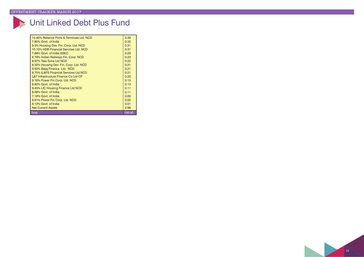# Unit Linked Debt Plus Fund

| Total                                      | 100.00 |
|--------------------------------------------|--------|
| <b>Net Current Assets</b>                  | 2.96   |
| 8.13% Govt. of India                       | 0.01   |
| 9.61% Power Fin Corp. Ltd. NCD             | 0.02   |
| 7.16% Govt. of India                       | 0.05   |
| 8.08% Govt. of India                       | 0.11   |
| 9.45% LIC Housing Finance Ltd NCD          | 0.11   |
| 8.83% Govt. of India                       | 0.13   |
| 9.18% Power Fin Corp. Ltd. NCD             | 0.15   |
| L&T Infrastructure Finance Co Ltd CP       | 0.20   |
| 9.75% IL&FS Financial Services Ltd NCD     | 0.21   |
| 9.50% Bajaj Finance Ltd. NCD               | 0.21   |
| 8.32% Housing Dev. Fin. Corp. Ltd. NCD     | 0.21   |
| 8.97% Tata Sons Ltd NCD                    | 0.22   |
| 8.79% Indian Railways Fin. Corp. NCD       | 0.23   |
| 7.88% Govt. of India GSEC                  | 0.29   |
| 10.10% HDB Financial Services Ltd. NCD     | 0.31   |
| 9.3% Housing Dev. Fin. Corp. Ltd. NCD      | 0.31   |
| 7.80% Govt. of India                       | 0.32   |
| 10.40% Reliance Ports & Terminals Ltd. NCD | 0.39   |
|                                            |        |

 $\boxed{24}$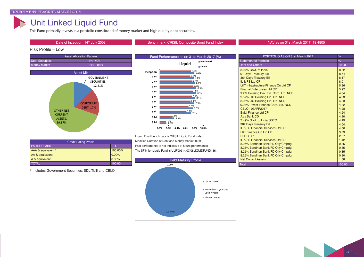### Unit Linked Liquid Fund

This Fund primarily invests in a portfolio constituted of money market and high quality debt securities.

#### Date of Inception: 14<sup>th</sup> July 2008 **Benchmark: CRISIL Composite Bond Fund Index** NAV as on 31st March 2017: 19.4805

#### Risk Profile – Low



| <b>Credit Rating Profile</b> |         |
|------------------------------|---------|
| <b>PARTICULARS</b>           | ULL     |
| AAA & equivalent*            | 100.00% |
| AA & equivalent              | 0.00%   |
| A & equivalent               | 0.00%   |
| <b>TOTAL</b>                 | 100.00  |

\* Includes Government Securities, SDL,Tbill and CBLO



Liquid Fund benchmark is CRISIL Liquid Fund Index Modified Duration of Debt and Money Market: 0.39 Past performance is not indicative of future performance The SFIN for Liquid Fund is ULIF00514/07/08LIQUIDFUND136.

| PORTFOLIO AS ON 31st March 2017                 | ℅      |
|-------------------------------------------------|--------|
| <b>Statement of Portfolio</b>                   | %      |
| <b>Debt and Others</b>                          | 100.00 |
| 8.07% Govt. of India                            | 8.62   |
| 91 Days Treasury Bill                           | 8.54   |
| <b>364 Days Treasury Bill</b>                   | 8.17   |
| II & FS I td CP                                 | 8.01   |
| <b>L&amp;T Infrastructure Finance Co Ltd CP</b> | 5.96   |
| <b>Piramal Enterprises Ltd CP</b>               | 5.92   |
| 9.2% Housing Dev. Fin. Corp. Ltd. NCD           | 4.34   |
| 9.57% LIC Housing Fin. Ltd. NCD                 | 4.33   |
| 8.05% LIC Housing Fin. Ltd. NCD                 | 4.33   |
| 9.27% Power Finance Corp. Ltd. NCD              | 4.32   |
| CBLO - 03APR2017                                | 4.28   |
| Bajaj Finance Ltd CP                            | 4.24   |
| Axis Bank CD                                    | 4.20   |
| 7.49% Govt. of India GSEC                       | 4.19   |
| 364 Days Treasury Bill                          | 4.04   |
| IL & FS Financial Services Ltd CP               | 4.00   |
| <b>L&amp;T Finance Co Ltd CP</b>                | 3.39   |
| <b>HDFC CP</b>                                  | 2.97   |
| IL & FS Financial Services Ltd CP               | 1.42   |
| 8.25% Bandhan Bank FD Qtly Cmpdg                | 0.85   |
| 8.25% Bandhan Bank FD Qtly Cmpdg                | 0.85   |
| 8.25% Bandhan Bank FD Qtly Cmpdg                | 0.85   |
| 8.25% Bandhan Bank FD Qtly Cmpdg                | 0.80   |
| <b>Net Current Assets</b>                       | 1.38   |

Total 100.00





25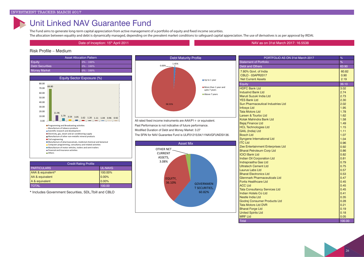### Unit Linked NAV Guarantee Fund

The Fund aims to generate long-term capital appreciation from active management of a portfolio of equity and fixed income securities. The allocation between equality and debt is dynamically managed, depending on the prevalent market conditions to safeguard capital appreciation. The use of derivatives is as per approval by IRDAI.

Date of Inception: 15<sup>th</sup> April 2011 **19th April 2011 19th April 2017: 16.5538** the April 2017: 16.5538 th April 2017: 16.5538 the April 2017: 16.5538 th April 2017: 16.5538 th April 2017: 16.5538 the April 2017: 16.5538

#### Risk Profile – Medium

| <b>Asset Allocation Pattern</b> |               |  |
|---------------------------------|---------------|--|
| Equity                          | $0\% - 100\%$ |  |
| <b>Debt Securities</b>          | $0\% - 100\%$ |  |
| <b>Money Market</b>             | $0\% - 100\%$ |  |
|                                 |               |  |



| <b>Credit Rating Profile</b> |           |
|------------------------------|-----------|
| <b>PARTICULARS</b>           | UL-NAVG   |
| AAA & equivalent*            | 100.00%   |
| AA & equivalent              | $ 0.00\%$ |
| A & equivalent               | 10.00%    |
| <b>TOTAL</b>                 | 100.00    |

\* Includes Government Securities, SDL,Tbill and CBLO



All rated fixed income instruments are AAA/P1 + or equivalent. Past Performance is not indicative of future performance. Modified Duration of Debt and Money Market: 3.27 The SFIN for NAV Guarantee Fund is ULIF01215/04/11NAVGFUNDSI136



| PORTFOLIO AS ON 31st March 2017          | %      |
|------------------------------------------|--------|
| <b>Statement of Portfolio</b>            | %      |
| <b>Debt and Others</b>                   | 63.90  |
| 7.80% Govt. of India                     | 60.82  |
| CBLO - 03APR2017                         | 0.90   |
| <b>Net Current Assets</b>                | 2.19   |
| Equity                                   | 36.10  |
| <b>HDFC Bank Ltd</b>                     | 3.02   |
| <b>IndusInd Bank Ltd</b>                 | 2.74   |
| Maruti Suzuki India Ltd                  | 2.73   |
| <b>YES Bank Ltd</b>                      | 2.30   |
| <b>Sun Pharmaceutical Industries Ltd</b> | 2.02   |
| <b>Infosys Ltd</b>                       | 1.95   |
| <b>Tata Motors Ltd</b>                   | 1.78   |
| Larsen & Tourbo Ltd                      | 1.62   |
| Kotak Mahindra Bank Ltd                  | 1.58   |
| <b>Bajaj Finance Ltd</b>                 | 1.49   |
| <b>HCL Technologies Ltd</b>              | 1.15   |
| <b>GAIL (India) Ltd</b>                  | 1.11   |
| <b>Bosch Ltd</b>                         | 1.07   |
| <b>Syngene International Ltd</b>         | 1.04   |
| <b>ITC Ltd</b>                           | 0.96   |
| Zee Entertainment Enterprises Ltd        | 0.92   |
| <b>Bharat Petroleum Corp Ltd</b>         | 0.86   |
| <b>ICICI Bank Ltd</b>                    | 0.82   |
| <b>Indian Oil Corporation Ltd</b>        | 0.81   |
| <b>Indraprastha Gas Ltd</b>              | 0.79   |
| <b>Ultratech Cement Ltd</b>              | 0.75   |
| Laurus Labs Ltd                          | 0.57   |
| <b>Bharat Electronics Ltd</b>            | 0.53   |
| Glenmark Pharmaceuticals Ltd             | 0.47   |
| <b>Fortis Healthcare Ltd</b>             | 0.45   |
| <b>ACC Ltd</b>                           | 0.45   |
| <b>Tata Consultancy Services Ltd</b>     | 0.45   |
| Indian Hotels Co Ltd                     | 0.41   |
| Nestle India Ltd                         | 0.35   |
| Godrej Consumer Products Ltd             | 0.28   |
| <b>Tata Motors Ltd DVR</b>               | 0.21   |
| <b>Bharat Forge Ltd</b>                  | 0.19   |
| <b>United Spirits Ltd</b>                | 0.18   |
| <b>MRF Ltd</b>                           | 0.05   |
| <b>Total</b>                             | 100.00 |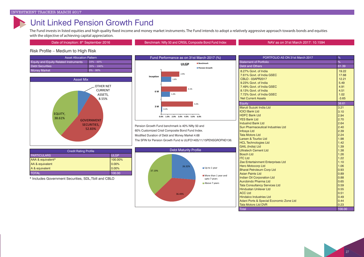### Unit Linked Pension Growth Fund

The Fund invests in listed equities and high quality fixed income and money market instruments. The Fund intends to adopt a relatively aggressive approach towards bonds and equities with the objective of achieving capital appreciation.

Date of Inception: 8<sup>th</sup> September 2016 **by September 2016** Benchmark: Nifty 50 and CRISIL Composite Bond Fund Index NAV as on 31st March 2017: 10.1594

#### Risk Profile – Medium to High Risk







Pension Growth Fund benchmark is 40% Nifty 50 and 60% Customized Crisil Composite Bond Fund Index. Modified Duration of Debt and Money Market 4.68 The SFIN for Pension Growth Fund is ULIFO1405/11/15PENSGROFND136.



\* Includes Government Securities, SDL,Tbill and CBLO



| PORTFOLIO AS ON 31st March 2017         | %       |
|-----------------------------------------|---------|
| <b>Statement of Portfolio</b>           | %       |
| <b>Debt and Others</b>                  | 61.39   |
| 8.27% Govt. of India                    | 19.22   |
| 7.61% Govt. of India GSEC               | 17.68   |
| CBLO - 03APR2017                        | 12.21   |
| 9.23% Govt. of India                    | 5.49    |
| 7.49% Govt. of India GSEC               | 4.91    |
| 8.13% Govt. of India                    | 4.51    |
| 7.72% Govt. of India GSEC               | 1.02    |
| <b>Net Current Assets</b>               | $-3.65$ |
| Equity                                  | 38.61   |
| Maruti Suzuki India Ltd                 | 3.21    |
| <b>ICICI Bank Ltd</b>                   | 3.10    |
| <b>HDFC Bank Ltd</b>                    | 2.94    |
| <b>YES Bank Ltd</b>                     | 2.70    |
| <b>IndusInd Bank Ltd</b>                | 2.64    |
| Sun Pharmaceutical Industries Ltd       | 2.40    |
| <b>Infosys Ltd</b>                      | 2.39    |
| <b>Tata Motors Ltd</b>                  | 2.24    |
| Larsen & Tourbo Ltd                     | 1.98    |
| <b>HCL Technologies Ltd</b>             | 1.42    |
| <b>GAIL (India) Ltd</b>                 | 1.39    |
| <b>Ultratech Cement Ltd</b>             | 1.38    |
| <b>Bosch Ltd</b>                        | 1.26    |
| <b>ITC Ltd</b>                          | 1.22    |
| Zee Entertainment Enterprises Ltd       | 1.10    |
| <b>Hero Motocorp Ltd</b>                | 1.06    |
| <b>Bharat Petroleum Corp Ltd</b>        | 0.93    |
| <b>Asian Paints Ltd</b>                 | 0.89    |
| <b>Indian Oil Corporation Ltd</b>       | 0.88    |
| Aurobindo Pharma Ltd                    | 0.65    |
| <b>Tata Consultancy Services Ltd</b>    | 0.59    |
| <b>Hindustan Unilever Ltd</b>           | 0.55    |
| <b>ACC Ltd</b>                          | 0.51    |
| <b>Hindalco Industries Ltd</b>          | 0.49    |
| Adani Ports & Special Economic Zone Ltd | 0.44    |
| <b>Tata Motors Ltd DVR</b>              | 0.23    |
| <b>Total</b>                            | 100.00  |

#### 27